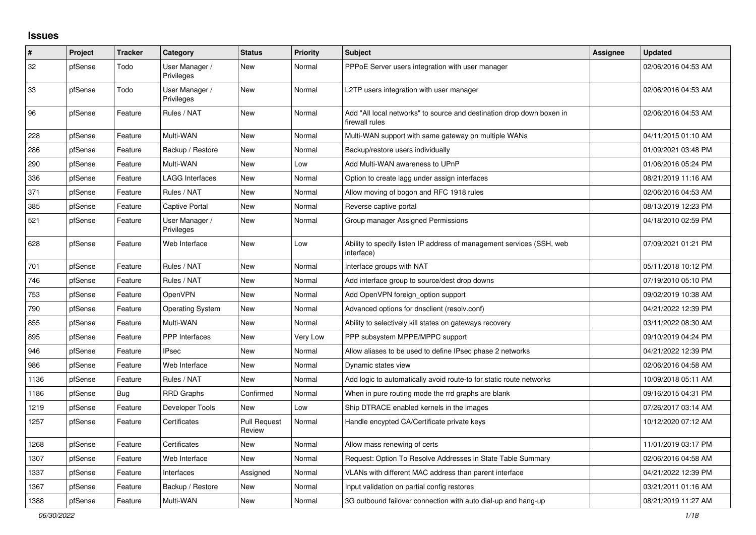## **Issues**

| #    | Project | <b>Tracker</b> | Category                     | <b>Status</b>                 | <b>Priority</b> | <b>Subject</b>                                                                          | <b>Assignee</b> | <b>Updated</b>      |
|------|---------|----------------|------------------------------|-------------------------------|-----------------|-----------------------------------------------------------------------------------------|-----------------|---------------------|
| 32   | pfSense | Todo           | User Manager /<br>Privileges | New                           | Normal          | PPPoE Server users integration with user manager                                        |                 | 02/06/2016 04:53 AM |
| 33   | pfSense | Todo           | User Manager /<br>Privileges | <b>New</b>                    | Normal          | L2TP users integration with user manager                                                |                 | 02/06/2016 04:53 AM |
| 96   | pfSense | Feature        | Rules / NAT                  | New                           | Normal          | Add "All local networks" to source and destination drop down boxen in<br>firewall rules |                 | 02/06/2016 04:53 AM |
| 228  | pfSense | Feature        | Multi-WAN                    | <b>New</b>                    | Normal          | Multi-WAN support with same gateway on multiple WANs                                    |                 | 04/11/2015 01:10 AM |
| 286  | pfSense | Feature        | Backup / Restore             | New                           | Normal          | Backup/restore users individually                                                       |                 | 01/09/2021 03:48 PM |
| 290  | pfSense | Feature        | Multi-WAN                    | <b>New</b>                    | Low             | Add Multi-WAN awareness to UPnP                                                         |                 | 01/06/2016 05:24 PM |
| 336  | pfSense | Feature        | LAGG Interfaces              | New                           | Normal          | Option to create lagg under assign interfaces                                           |                 | 08/21/2019 11:16 AM |
| 371  | pfSense | Feature        | Rules / NAT                  | New                           | Normal          | Allow moving of bogon and RFC 1918 rules                                                |                 | 02/06/2016 04:53 AM |
| 385  | pfSense | Feature        | <b>Captive Portal</b>        | New                           | Normal          | Reverse captive portal                                                                  |                 | 08/13/2019 12:23 PM |
| 521  | pfSense | Feature        | User Manager /<br>Privileges | New                           | Normal          | Group manager Assigned Permissions                                                      |                 | 04/18/2010 02:59 PM |
| 628  | pfSense | Feature        | Web Interface                | New                           | Low             | Ability to specify listen IP address of management services (SSH, web<br>interface)     |                 | 07/09/2021 01:21 PM |
| 701  | pfSense | Feature        | Rules / NAT                  | New                           | Normal          | Interface groups with NAT                                                               |                 | 05/11/2018 10:12 PM |
| 746  | pfSense | Feature        | Rules / NAT                  | New                           | Normal          | Add interface group to source/dest drop downs                                           |                 | 07/19/2010 05:10 PM |
| 753  | pfSense | Feature        | <b>OpenVPN</b>               | <b>New</b>                    | Normal          | Add OpenVPN foreign_option support                                                      |                 | 09/02/2019 10:38 AM |
| 790  | pfSense | Feature        | <b>Operating System</b>      | <b>New</b>                    | Normal          | Advanced options for dnsclient (resolv.conf)                                            |                 | 04/21/2022 12:39 PM |
| 855  | pfSense | Feature        | Multi-WAN                    | New                           | Normal          | Ability to selectively kill states on gateways recovery                                 |                 | 03/11/2022 08:30 AM |
| 895  | pfSense | Feature        | PPP Interfaces               | New                           | Very Low        | PPP subsystem MPPE/MPPC support                                                         |                 | 09/10/2019 04:24 PM |
| 946  | pfSense | Feature        | <b>IPsec</b>                 | New                           | Normal          | Allow aliases to be used to define IPsec phase 2 networks                               |                 | 04/21/2022 12:39 PM |
| 986  | pfSense | Feature        | Web Interface                | New                           | Normal          | Dynamic states view                                                                     |                 | 02/06/2016 04:58 AM |
| 1136 | pfSense | Feature        | Rules / NAT                  | New                           | Normal          | Add logic to automatically avoid route-to for static route networks                     |                 | 10/09/2018 05:11 AM |
| 1186 | pfSense | <b>Bug</b>     | <b>RRD Graphs</b>            | Confirmed                     | Normal          | When in pure routing mode the rrd graphs are blank                                      |                 | 09/16/2015 04:31 PM |
| 1219 | pfSense | Feature        | Developer Tools              | <b>New</b>                    | Low             | Ship DTRACE enabled kernels in the images                                               |                 | 07/26/2017 03:14 AM |
| 1257 | pfSense | Feature        | Certificates                 | <b>Pull Request</b><br>Review | Normal          | Handle encypted CA/Certificate private keys                                             |                 | 10/12/2020 07:12 AM |
| 1268 | pfSense | Feature        | Certificates                 | <b>New</b>                    | Normal          | Allow mass renewing of certs                                                            |                 | 11/01/2019 03:17 PM |
| 1307 | pfSense | Feature        | Web Interface                | New                           | Normal          | Request: Option To Resolve Addresses in State Table Summary                             |                 | 02/06/2016 04:58 AM |
| 1337 | pfSense | Feature        | Interfaces                   | Assigned                      | Normal          | VLANs with different MAC address than parent interface                                  |                 | 04/21/2022 12:39 PM |
| 1367 | pfSense | Feature        | Backup / Restore             | New                           | Normal          | Input validation on partial config restores                                             |                 | 03/21/2011 01:16 AM |
| 1388 | pfSense | Feature        | Multi-WAN                    | New                           | Normal          | 3G outbound failover connection with auto dial-up and hang-up                           |                 | 08/21/2019 11:27 AM |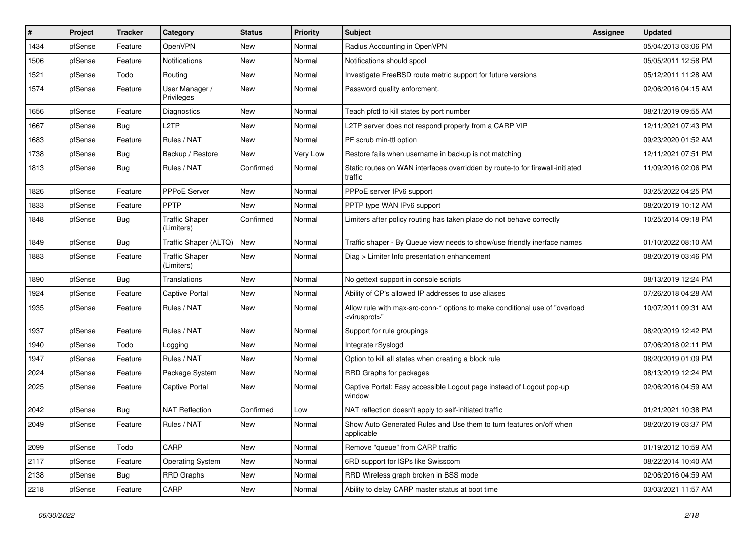| ∦    | Project | <b>Tracker</b> | Category                            | <b>Status</b> | <b>Priority</b> | Subject                                                                                                 | <b>Assignee</b> | <b>Updated</b>      |
|------|---------|----------------|-------------------------------------|---------------|-----------------|---------------------------------------------------------------------------------------------------------|-----------------|---------------------|
| 1434 | pfSense | Feature        | OpenVPN                             | New           | Normal          | Radius Accounting in OpenVPN                                                                            |                 | 05/04/2013 03:06 PM |
| 1506 | pfSense | Feature        | <b>Notifications</b>                | New           | Normal          | Notifications should spool                                                                              |                 | 05/05/2011 12:58 PM |
| 1521 | pfSense | Todo           | Routing                             | New           | Normal          | Investigate FreeBSD route metric support for future versions                                            |                 | 05/12/2011 11:28 AM |
| 1574 | pfSense | Feature        | User Manager /<br>Privileges        | New           | Normal          | Password quality enforcment.                                                                            |                 | 02/06/2016 04:15 AM |
| 1656 | pfSense | Feature        | <b>Diagnostics</b>                  | New           | Normal          | Teach pfctl to kill states by port number                                                               |                 | 08/21/2019 09:55 AM |
| 1667 | pfSense | <b>Bug</b>     | L <sub>2</sub> TP                   | New           | Normal          | L2TP server does not respond properly from a CARP VIP                                                   |                 | 12/11/2021 07:43 PM |
| 1683 | pfSense | Feature        | Rules / NAT                         | New           | Normal          | PF scrub min-ttl option                                                                                 |                 | 09/23/2020 01:52 AM |
| 1738 | pfSense | <b>Bug</b>     | Backup / Restore                    | New           | Very Low        | Restore fails when username in backup is not matching                                                   |                 | 12/11/2021 07:51 PM |
| 1813 | pfSense | <b>Bug</b>     | Rules / NAT                         | Confirmed     | Normal          | Static routes on WAN interfaces overridden by route-to for firewall-initiated<br>traffic                |                 | 11/09/2016 02:06 PM |
| 1826 | pfSense | Feature        | PPPoE Server                        | New           | Normal          | PPPoE server IPv6 support                                                                               |                 | 03/25/2022 04:25 PM |
| 1833 | pfSense | Feature        | PPTP                                | <b>New</b>    | Normal          | PPTP type WAN IPv6 support                                                                              |                 | 08/20/2019 10:12 AM |
| 1848 | pfSense | <b>Bug</b>     | <b>Traffic Shaper</b><br>(Limiters) | Confirmed     | Normal          | Limiters after policy routing has taken place do not behave correctly                                   |                 | 10/25/2014 09:18 PM |
| 1849 | pfSense | <b>Bug</b>     | Traffic Shaper (ALTQ)               | New           | Normal          | Traffic shaper - By Queue view needs to show/use friendly inerface names                                |                 | 01/10/2022 08:10 AM |
| 1883 | pfSense | Feature        | <b>Traffic Shaper</b><br>(Limiters) | New           | Normal          | Diag > Limiter Info presentation enhancement                                                            |                 | 08/20/2019 03:46 PM |
| 1890 | pfSense | <b>Bug</b>     | Translations                        | New           | Normal          | No gettext support in console scripts                                                                   |                 | 08/13/2019 12:24 PM |
| 1924 | pfSense | Feature        | <b>Captive Portal</b>               | New           | Normal          | Ability of CP's allowed IP addresses to use aliases                                                     |                 | 07/26/2018 04:28 AM |
| 1935 | pfSense | Feature        | Rules / NAT                         | New           | Normal          | Allow rule with max-src-conn-* options to make conditional use of "overload<br><virusprot>"</virusprot> |                 | 10/07/2011 09:31 AM |
| 1937 | pfSense | Feature        | Rules / NAT                         | New           | Normal          | Support for rule groupings                                                                              |                 | 08/20/2019 12:42 PM |
| 1940 | pfSense | Todo           | Logging                             | New           | Normal          | Integrate rSyslogd                                                                                      |                 | 07/06/2018 02:11 PM |
| 1947 | pfSense | Feature        | Rules / NAT                         | New           | Normal          | Option to kill all states when creating a block rule                                                    |                 | 08/20/2019 01:09 PM |
| 2024 | pfSense | Feature        | Package System                      | New           | Normal          | RRD Graphs for packages                                                                                 |                 | 08/13/2019 12:24 PM |
| 2025 | pfSense | Feature        | Captive Portal                      | New           | Normal          | Captive Portal: Easy accessible Logout page instead of Logout pop-up<br>window                          |                 | 02/06/2016 04:59 AM |
| 2042 | pfSense | <b>Bug</b>     | <b>NAT Reflection</b>               | Confirmed     | Low             | NAT reflection doesn't apply to self-initiated traffic                                                  |                 | 01/21/2021 10:38 PM |
| 2049 | pfSense | Feature        | Rules / NAT                         | New           | Normal          | Show Auto Generated Rules and Use them to turn features on/off when<br>applicable                       |                 | 08/20/2019 03:37 PM |
| 2099 | pfSense | Todo           | CARP                                | New           | Normal          | Remove "queue" from CARP traffic                                                                        |                 | 01/19/2012 10:59 AM |
| 2117 | pfSense | Feature        | <b>Operating System</b>             | New           | Normal          | 6RD support for ISPs like Swisscom                                                                      |                 | 08/22/2014 10:40 AM |
| 2138 | pfSense | Bug            | <b>RRD Graphs</b>                   | New           | Normal          | RRD Wireless graph broken in BSS mode                                                                   |                 | 02/06/2016 04:59 AM |
| 2218 | pfSense | Feature        | CARP                                | New           | Normal          | Ability to delay CARP master status at boot time                                                        |                 | 03/03/2021 11:57 AM |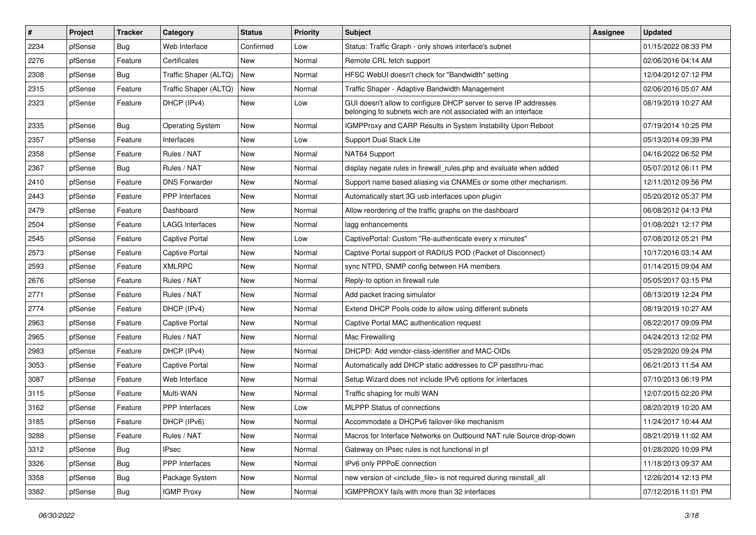| $\vert$ # | Project | <b>Tracker</b> | Category                | <b>Status</b> | <b>Priority</b> | Subject                                                                                                                            | <b>Assignee</b> | <b>Updated</b>      |
|-----------|---------|----------------|-------------------------|---------------|-----------------|------------------------------------------------------------------------------------------------------------------------------------|-----------------|---------------------|
| 2234      | pfSense | Bug            | Web Interface           | Confirmed     | Low             | Status: Traffic Graph - only shows interface's subnet                                                                              |                 | 01/15/2022 08:33 PM |
| 2276      | pfSense | Feature        | Certificates            | New           | Normal          | Remote CRL fetch support                                                                                                           |                 | 02/06/2016 04:14 AM |
| 2308      | pfSense | <b>Bug</b>     | Traffic Shaper (ALTQ)   | New           | Normal          | HFSC WebUI doesn't check for "Bandwidth" setting                                                                                   |                 | 12/04/2012 07:12 PM |
| 2315      | pfSense | Feature        | Traffic Shaper (ALTQ)   | New           | Normal          | Traffic Shaper - Adaptive Bandwidth Management                                                                                     |                 | 02/06/2016 05:07 AM |
| 2323      | pfSense | Feature        | DHCP (IPv4)             | New           | Low             | GUI doesn't allow to configure DHCP server to serve IP addresses<br>belonging to subnets wich are not associated with an interface |                 | 08/19/2019 10:27 AM |
| 2335      | pfSense | <b>Bug</b>     | <b>Operating System</b> | New           | Normal          | IGMPProxy and CARP Results in System Instability Upon Reboot                                                                       |                 | 07/19/2014 10:25 PM |
| 2357      | pfSense | Feature        | Interfaces              | New           | Low             | Support Dual Stack Lite                                                                                                            |                 | 05/13/2014 09:39 PM |
| 2358      | pfSense | Feature        | Rules / NAT             | New           | Normal          | NAT64 Support                                                                                                                      |                 | 04/16/2022 06:52 PM |
| 2367      | pfSense | <b>Bug</b>     | Rules / NAT             | New           | Normal          | display negate rules in firewall_rules.php and evaluate when added                                                                 |                 | 05/07/2012 06:11 PM |
| 2410      | pfSense | Feature        | <b>DNS Forwarder</b>    | New           | Normal          | Support name based aliasing via CNAMEs or some other mechanism.                                                                    |                 | 12/11/2012 09:56 PM |
| 2443      | pfSense | Feature        | PPP Interfaces          | New           | Normal          | Automatically start 3G usb interfaces upon plugin                                                                                  |                 | 05/20/2012 05:37 PM |
| 2479      | pfSense | Feature        | Dashboard               | New           | Normal          | Allow reordering of the traffic graphs on the dashboard                                                                            |                 | 06/08/2012 04:13 PM |
| 2504      | pfSense | Feature        | LAGG Interfaces         | New           | Normal          | lagg enhancements                                                                                                                  |                 | 01/08/2021 12:17 PM |
| 2545      | pfSense | Feature        | <b>Captive Portal</b>   | New           | Low             | CaptivePortal: Custom "Re-authenticate every x minutes"                                                                            |                 | 07/08/2012 05:21 PM |
| 2573      | pfSense | Feature        | <b>Captive Portal</b>   | New           | Normal          | Captive Portal support of RADIUS POD (Packet of Disconnect)                                                                        |                 | 10/17/2016 03:14 AM |
| 2593      | pfSense | Feature        | <b>XMLRPC</b>           | New           | Normal          | sync NTPD, SNMP config between HA members                                                                                          |                 | 01/14/2015 09:04 AM |
| 2676      | pfSense | Feature        | Rules / NAT             | New           | Normal          | Reply-to option in firewall rule                                                                                                   |                 | 05/05/2017 03:15 PM |
| 2771      | pfSense | Feature        | Rules / NAT             | New           | Normal          | Add packet tracing simulator                                                                                                       |                 | 08/13/2019 12:24 PM |
| 2774      | pfSense | Feature        | DHCP (IPv4)             | New           | Normal          | Extend DHCP Pools code to allow using different subnets                                                                            |                 | 08/19/2019 10:27 AM |
| 2963      | pfSense | Feature        | Captive Portal          | New           | Normal          | Captive Portal MAC authentication request                                                                                          |                 | 08/22/2017 09:09 PM |
| 2965      | pfSense | Feature        | Rules / NAT             | New           | Normal          | Mac Firewalling                                                                                                                    |                 | 04/24/2013 12:02 PM |
| 2983      | pfSense | Feature        | DHCP (IPv4)             | New           | Normal          | DHCPD: Add vendor-class-identifier and MAC-OIDs                                                                                    |                 | 05/29/2020 09:24 PM |
| 3053      | pfSense | Feature        | Captive Portal          | New           | Normal          | Automatically add DHCP static addresses to CP passthru-mac                                                                         |                 | 06/21/2013 11:54 AM |
| 3087      | pfSense | Feature        | Web Interface           | New           | Normal          | Setup Wizard does not include IPv6 options for interfaces                                                                          |                 | 07/10/2013 06:19 PM |
| 3115      | pfSense | Feature        | Multi-WAN               | New           | Normal          | Traffic shaping for multi WAN                                                                                                      |                 | 12/07/2015 02:20 PM |
| 3162      | pfSense | Feature        | PPP Interfaces          | New           | Low             | <b>MLPPP Status of connections</b>                                                                                                 |                 | 08/20/2019 10:20 AM |
| 3185      | pfSense | Feature        | DHCP (IPv6)             | New           | Normal          | Accommodate a DHCPv6 failover-like mechanism                                                                                       |                 | 11/24/2017 10:44 AM |
| 3288      | pfSense | Feature        | Rules / NAT             | New           | Normal          | Macros for Interface Networks on Outbound NAT rule Source drop-down                                                                |                 | 08/21/2019 11:02 AM |
| 3312      | pfSense | Bug            | <b>IPsec</b>            | New           | Normal          | Gateway on IPsec rules is not functional in pf                                                                                     |                 | 01/28/2020 10:09 PM |
| 3326      | pfSense | <b>Bug</b>     | PPP Interfaces          | New           | Normal          | IPv6 only PPPoE connection                                                                                                         |                 | 11/18/2013 09:37 AM |
| 3358      | pfSense | <b>Bug</b>     | Package System          | New           | Normal          | new version of <include_file> is not required during reinstall_all</include_file>                                                  |                 | 12/26/2014 12:13 PM |
| 3382      | pfSense | <b>Bug</b>     | <b>IGMP Proxy</b>       | New           | Normal          | IGMPPROXY fails with more than 32 interfaces                                                                                       |                 | 07/12/2016 11:01 PM |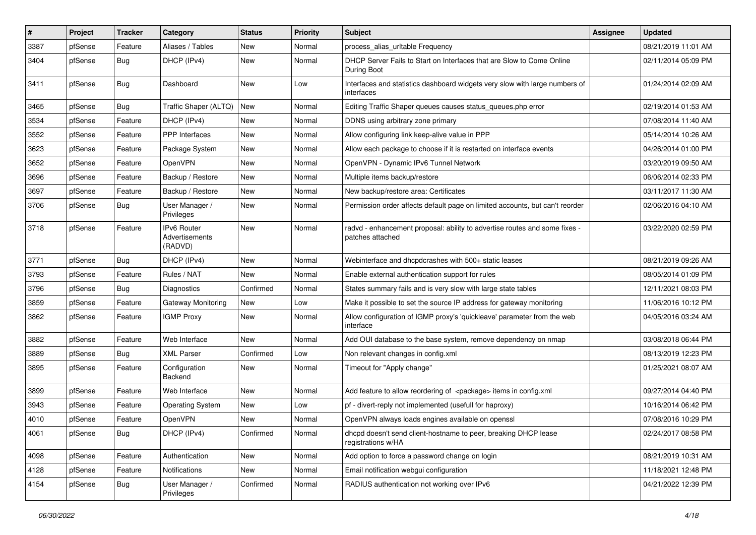| $\vert$ # | Project | <b>Tracker</b> | Category                                 | <b>Status</b> | <b>Priority</b> | Subject                                                                                        | <b>Assignee</b> | <b>Updated</b>      |
|-----------|---------|----------------|------------------------------------------|---------------|-----------------|------------------------------------------------------------------------------------------------|-----------------|---------------------|
| 3387      | pfSense | Feature        | Aliases / Tables                         | New           | Normal          | process_alias_urltable Frequency                                                               |                 | 08/21/2019 11:01 AM |
| 3404      | pfSense | <b>Bug</b>     | DHCP (IPv4)                              | New           | Normal          | DHCP Server Fails to Start on Interfaces that are Slow to Come Online<br>During Boot           |                 | 02/11/2014 05:09 PM |
| 3411      | pfSense | <b>Bug</b>     | Dashboard                                | New           | Low             | Interfaces and statistics dashboard widgets very slow with large numbers of<br>interfaces      |                 | 01/24/2014 02:09 AM |
| 3465      | pfSense | <b>Bug</b>     | Traffic Shaper (ALTQ)                    | New           | Normal          | Editing Traffic Shaper queues causes status queues.php error                                   |                 | 02/19/2014 01:53 AM |
| 3534      | pfSense | Feature        | DHCP (IPv4)                              | New           | Normal          | DDNS using arbitrary zone primary                                                              |                 | 07/08/2014 11:40 AM |
| 3552      | pfSense | Feature        | PPP Interfaces                           | <b>New</b>    | Normal          | Allow configuring link keep-alive value in PPP                                                 |                 | 05/14/2014 10:26 AM |
| 3623      | pfSense | Feature        | Package System                           | New           | Normal          | Allow each package to choose if it is restarted on interface events                            |                 | 04/26/2014 01:00 PM |
| 3652      | pfSense | Feature        | OpenVPN                                  | <b>New</b>    | Normal          | OpenVPN - Dynamic IPv6 Tunnel Network                                                          |                 | 03/20/2019 09:50 AM |
| 3696      | pfSense | Feature        | Backup / Restore                         | New           | Normal          | Multiple items backup/restore                                                                  |                 | 06/06/2014 02:33 PM |
| 3697      | pfSense | Feature        | Backup / Restore                         | New           | Normal          | New backup/restore area: Certificates                                                          |                 | 03/11/2017 11:30 AM |
| 3706      | pfSense | Bug            | User Manager /<br>Privileges             | <b>New</b>    | Normal          | Permission order affects default page on limited accounts, but can't reorder                   |                 | 02/06/2016 04:10 AM |
| 3718      | pfSense | Feature        | IPv6 Router<br>Advertisements<br>(RADVD) | New           | Normal          | radvd - enhancement proposal: ability to advertise routes and some fixes -<br>patches attached |                 | 03/22/2020 02:59 PM |
| 3771      | pfSense | <b>Bug</b>     | DHCP (IPv4)                              | New           | Normal          | Webinterface and dhcpdcrashes with 500+ static leases                                          |                 | 08/21/2019 09:26 AM |
| 3793      | pfSense | Feature        | Rules / NAT                              | New           | Normal          | Enable external authentication support for rules                                               |                 | 08/05/2014 01:09 PM |
| 3796      | pfSense | <b>Bug</b>     | <b>Diagnostics</b>                       | Confirmed     | Normal          | States summary fails and is very slow with large state tables                                  |                 | 12/11/2021 08:03 PM |
| 3859      | pfSense | Feature        | Gateway Monitoring                       | <b>New</b>    | Low             | Make it possible to set the source IP address for gateway monitoring                           |                 | 11/06/2016 10:12 PM |
| 3862      | pfSense | Feature        | <b>IGMP Proxy</b>                        | New           | Normal          | Allow configuration of IGMP proxy's 'quickleave' parameter from the web<br>interface           |                 | 04/05/2016 03:24 AM |
| 3882      | pfSense | Feature        | Web Interface                            | <b>New</b>    | Normal          | Add OUI database to the base system, remove dependency on nmap                                 |                 | 03/08/2018 06:44 PM |
| 3889      | pfSense | <b>Bug</b>     | <b>XML Parser</b>                        | Confirmed     | Low             | Non relevant changes in config.xml                                                             |                 | 08/13/2019 12:23 PM |
| 3895      | pfSense | Feature        | Configuration<br>Backend                 | New           | Normal          | Timeout for "Apply change"                                                                     |                 | 01/25/2021 08:07 AM |
| 3899      | pfSense | Feature        | Web Interface                            | <b>New</b>    | Normal          | Add feature to allow reordering of <package> items in config.xml</package>                     |                 | 09/27/2014 04:40 PM |
| 3943      | pfSense | Feature        | <b>Operating System</b>                  | New           | Low             | pf - divert-reply not implemented (usefull for haproxy)                                        |                 | 10/16/2014 06:42 PM |
| 4010      | pfSense | Feature        | OpenVPN                                  | New           | Normal          | OpenVPN always loads engines available on openssl                                              |                 | 07/08/2016 10:29 PM |
| 4061      | pfSense | <b>Bug</b>     | DHCP (IPv4)                              | Confirmed     | Normal          | dhcpd doesn't send client-hostname to peer, breaking DHCP lease<br>registrations w/HA          |                 | 02/24/2017 08:58 PM |
| 4098      | pfSense | Feature        | Authentication                           | New           | Normal          | Add option to force a password change on login                                                 |                 | 08/21/2019 10:31 AM |
| 4128      | pfSense | Feature        | Notifications                            | New           | Normal          | Email notification webgui configuration                                                        |                 | 11/18/2021 12:48 PM |
| 4154      | pfSense | <b>Bug</b>     | User Manager /<br>Privileges             | Confirmed     | Normal          | RADIUS authentication not working over IPv6                                                    |                 | 04/21/2022 12:39 PM |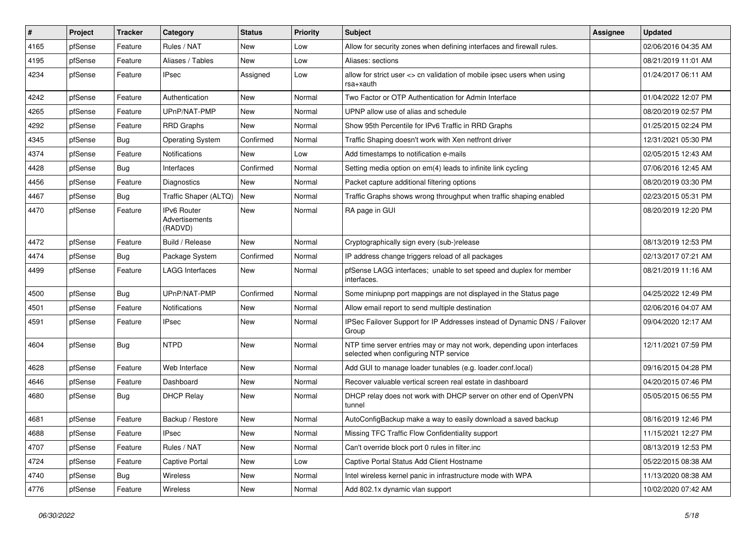| #    | Project | <b>Tracker</b> | Category                                 | <b>Status</b> | <b>Priority</b> | Subject                                                                                                         | <b>Assignee</b> | <b>Updated</b>      |
|------|---------|----------------|------------------------------------------|---------------|-----------------|-----------------------------------------------------------------------------------------------------------------|-----------------|---------------------|
| 4165 | pfSense | Feature        | Rules / NAT                              | New           | Low             | Allow for security zones when defining interfaces and firewall rules.                                           |                 | 02/06/2016 04:35 AM |
| 4195 | pfSense | Feature        | Aliases / Tables                         | New           | Low             | Aliases: sections                                                                                               |                 | 08/21/2019 11:01 AM |
| 4234 | pfSense | Feature        | <b>IPsec</b>                             | Assigned      | Low             | allow for strict user <> cn validation of mobile ipsec users when using<br>rsa+xauth                            |                 | 01/24/2017 06:11 AM |
| 4242 | pfSense | Feature        | Authentication                           | New           | Normal          | Two Factor or OTP Authentication for Admin Interface                                                            |                 | 01/04/2022 12:07 PM |
| 4265 | pfSense | Feature        | UPnP/NAT-PMP                             | New           | Normal          | UPNP allow use of alias and schedule                                                                            |                 | 08/20/2019 02:57 PM |
| 4292 | pfSense | Feature        | <b>RRD Graphs</b>                        | New           | Normal          | Show 95th Percentile for IPv6 Traffic in RRD Graphs                                                             |                 | 01/25/2015 02:24 PM |
| 4345 | pfSense | <b>Bug</b>     | <b>Operating System</b>                  | Confirmed     | Normal          | Traffic Shaping doesn't work with Xen netfront driver                                                           |                 | 12/31/2021 05:30 PM |
| 4374 | pfSense | Feature        | <b>Notifications</b>                     | New           | Low             | Add timestamps to notification e-mails                                                                          |                 | 02/05/2015 12:43 AM |
| 4428 | pfSense | <b>Bug</b>     | Interfaces                               | Confirmed     | Normal          | Setting media option on em(4) leads to infinite link cycling                                                    |                 | 07/06/2016 12:45 AM |
| 4456 | pfSense | Feature        | <b>Diagnostics</b>                       | New           | Normal          | Packet capture additional filtering options                                                                     |                 | 08/20/2019 03:30 PM |
| 4467 | pfSense | <b>Bug</b>     | Traffic Shaper (ALTQ)                    | <b>New</b>    | Normal          | Traffic Graphs shows wrong throughput when traffic shaping enabled                                              |                 | 02/23/2015 05:31 PM |
| 4470 | pfSense | Feature        | IPv6 Router<br>Advertisements<br>(RADVD) | <b>New</b>    | Normal          | RA page in GUI                                                                                                  |                 | 08/20/2019 12:20 PM |
| 4472 | pfSense | Feature        | Build / Release                          | <b>New</b>    | Normal          | Cryptographically sign every (sub-)release                                                                      |                 | 08/13/2019 12:53 PM |
| 4474 | pfSense | Bug            | Package System                           | Confirmed     | Normal          | IP address change triggers reload of all packages                                                               |                 | 02/13/2017 07:21 AM |
| 4499 | pfSense | Feature        | <b>LAGG Interfaces</b>                   | New           | Normal          | pfSense LAGG interfaces; unable to set speed and duplex for member<br>interfaces.                               |                 | 08/21/2019 11:16 AM |
| 4500 | pfSense | <b>Bug</b>     | UPnP/NAT-PMP                             | Confirmed     | Normal          | Some miniupnp port mappings are not displayed in the Status page                                                |                 | 04/25/2022 12:49 PM |
| 4501 | pfSense | Feature        | <b>Notifications</b>                     | <b>New</b>    | Normal          | Allow email report to send multiple destination                                                                 |                 | 02/06/2016 04:07 AM |
| 4591 | pfSense | Feature        | <b>IPsec</b>                             | New           | Normal          | IPSec Failover Support for IP Addresses instead of Dynamic DNS / Failover<br>Group                              |                 | 09/04/2020 12:17 AM |
| 4604 | pfSense | <b>Bug</b>     | <b>NTPD</b>                              | <b>New</b>    | Normal          | NTP time server entries may or may not work, depending upon interfaces<br>selected when configuring NTP service |                 | 12/11/2021 07:59 PM |
| 4628 | pfSense | Feature        | Web Interface                            | New           | Normal          | Add GUI to manage loader tunables (e.g. loader.conf.local)                                                      |                 | 09/16/2015 04:28 PM |
| 4646 | pfSense | Feature        | Dashboard                                | New           | Normal          | Recover valuable vertical screen real estate in dashboard                                                       |                 | 04/20/2015 07:46 PM |
| 4680 | pfSense | <b>Bug</b>     | <b>DHCP Relay</b>                        | New           | Normal          | DHCP relay does not work with DHCP server on other end of OpenVPN<br>tunnel                                     |                 | 05/05/2015 06:55 PM |
| 4681 | pfSense | Feature        | Backup / Restore                         | New           | Normal          | AutoConfigBackup make a way to easily download a saved backup                                                   |                 | 08/16/2019 12:46 PM |
| 4688 | pfSense | Feature        | IPsec                                    | New           | Normal          | Missing TFC Traffic Flow Confidentiality support                                                                |                 | 11/15/2021 12:27 PM |
| 4707 | pfSense | Feature        | Rules / NAT                              | New           | Normal          | Can't override block port 0 rules in filter.inc                                                                 |                 | 08/13/2019 12:53 PM |
| 4724 | pfSense | Feature        | Captive Portal                           | New           | Low             | Captive Portal Status Add Client Hostname                                                                       |                 | 05/22/2015 08:38 AM |
| 4740 | pfSense | <b>Bug</b>     | Wireless                                 | New           | Normal          | Intel wireless kernel panic in infrastructure mode with WPA                                                     |                 | 11/13/2020 08:38 AM |
| 4776 | pfSense | Feature        | Wireless                                 | New           | Normal          | Add 802.1x dynamic vlan support                                                                                 |                 | 10/02/2020 07:42 AM |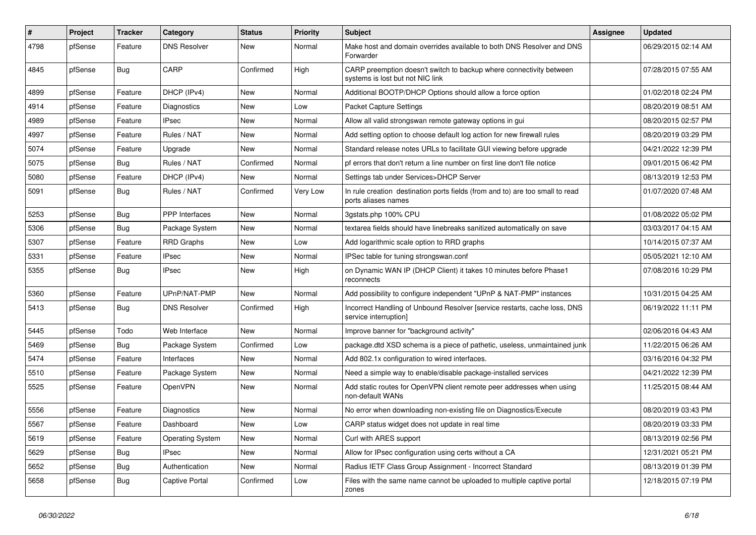| $\sharp$ | Project | <b>Tracker</b> | Category                | <b>Status</b> | <b>Priority</b> | <b>Subject</b>                                                                                          | <b>Assignee</b> | <b>Updated</b>      |
|----------|---------|----------------|-------------------------|---------------|-----------------|---------------------------------------------------------------------------------------------------------|-----------------|---------------------|
| 4798     | pfSense | Feature        | <b>DNS Resolver</b>     | New           | Normal          | Make host and domain overrides available to both DNS Resolver and DNS<br>Forwarder                      |                 | 06/29/2015 02:14 AM |
| 4845     | pfSense | Bug            | CARP                    | Confirmed     | High            | CARP preemption doesn't switch to backup where connectivity between<br>systems is lost but not NIC link |                 | 07/28/2015 07:55 AM |
| 4899     | pfSense | Feature        | DHCP (IPv4)             | New           | Normal          | Additional BOOTP/DHCP Options should allow a force option                                               |                 | 01/02/2018 02:24 PM |
| 4914     | pfSense | Feature        | <b>Diagnostics</b>      | New           | Low             | <b>Packet Capture Settings</b>                                                                          |                 | 08/20/2019 08:51 AM |
| 4989     | pfSense | Feature        | <b>IPsec</b>            | New           | Normal          | Allow all valid strongswan remote gateway options in gui                                                |                 | 08/20/2015 02:57 PM |
| 4997     | pfSense | Feature        | Rules / NAT             | New           | Normal          | Add setting option to choose default log action for new firewall rules                                  |                 | 08/20/2019 03:29 PM |
| 5074     | pfSense | Feature        | Upgrade                 | New           | Normal          | Standard release notes URLs to facilitate GUI viewing before upgrade                                    |                 | 04/21/2022 12:39 PM |
| 5075     | pfSense | <b>Bug</b>     | Rules / NAT             | Confirmed     | Normal          | pf errors that don't return a line number on first line don't file notice                               |                 | 09/01/2015 06:42 PM |
| 5080     | pfSense | Feature        | DHCP (IPv4)             | New           | Normal          | Settings tab under Services>DHCP Server                                                                 |                 | 08/13/2019 12:53 PM |
| 5091     | pfSense | <b>Bug</b>     | Rules / NAT             | Confirmed     | Very Low        | In rule creation destination ports fields (from and to) are too small to read<br>ports aliases names    |                 | 01/07/2020 07:48 AM |
| 5253     | pfSense | <b>Bug</b>     | <b>PPP</b> Interfaces   | New           | Normal          | 3gstats.php 100% CPU                                                                                    |                 | 01/08/2022 05:02 PM |
| 5306     | pfSense | <b>Bug</b>     | Package System          | New           | Normal          | textarea fields should have linebreaks sanitized automatically on save                                  |                 | 03/03/2017 04:15 AM |
| 5307     | pfSense | Feature        | <b>RRD Graphs</b>       | New           | Low             | Add logarithmic scale option to RRD graphs                                                              |                 | 10/14/2015 07:37 AM |
| 5331     | pfSense | Feature        | <b>IPsec</b>            | New           | Normal          | IPSec table for tuning strongswan.conf                                                                  |                 | 05/05/2021 12:10 AM |
| 5355     | pfSense | <b>Bug</b>     | <b>IPsec</b>            | New           | High            | on Dynamic WAN IP (DHCP Client) it takes 10 minutes before Phase1<br>reconnects                         |                 | 07/08/2016 10:29 PM |
| 5360     | pfSense | Feature        | UPnP/NAT-PMP            | New           | Normal          | Add possibility to configure independent "UPnP & NAT-PMP" instances                                     |                 | 10/31/2015 04:25 AM |
| 5413     | pfSense | <b>Bug</b>     | <b>DNS Resolver</b>     | Confirmed     | High            | Incorrect Handling of Unbound Resolver [service restarts, cache loss, DNS<br>service interruption]      |                 | 06/19/2022 11:11 PM |
| 5445     | pfSense | Todo           | Web Interface           | New           | Normal          | Improve banner for "background activity"                                                                |                 | 02/06/2016 04:43 AM |
| 5469     | pfSense | <b>Bug</b>     | Package System          | Confirmed     | Low             | package.dtd XSD schema is a piece of pathetic, useless, unmaintained junk                               |                 | 11/22/2015 06:26 AM |
| 5474     | pfSense | Feature        | Interfaces              | New           | Normal          | Add 802.1x configuration to wired interfaces.                                                           |                 | 03/16/2016 04:32 PM |
| 5510     | pfSense | Feature        | Package System          | New           | Normal          | Need a simple way to enable/disable package-installed services                                          |                 | 04/21/2022 12:39 PM |
| 5525     | pfSense | Feature        | OpenVPN                 | New           | Normal          | Add static routes for OpenVPN client remote peer addresses when using<br>non-default WANs               |                 | 11/25/2015 08:44 AM |
| 5556     | pfSense | Feature        | Diagnostics             | <b>New</b>    | Normal          | No error when downloading non-existing file on Diagnostics/Execute                                      |                 | 08/20/2019 03:43 PM |
| 5567     | pfSense | Feature        | Dashboard               | New           | Low             | CARP status widget does not update in real time                                                         |                 | 08/20/2019 03:33 PM |
| 5619     | pfSense | Feature        | <b>Operating System</b> | New           | Normal          | Curl with ARES support                                                                                  |                 | 08/13/2019 02:56 PM |
| 5629     | pfSense | <b>Bug</b>     | <b>IPsec</b>            | New           | Normal          | Allow for IPsec configuration using certs without a CA                                                  |                 | 12/31/2021 05:21 PM |
| 5652     | pfSense | <b>Bug</b>     | Authentication          | New           | Normal          | Radius IETF Class Group Assignment - Incorrect Standard                                                 |                 | 08/13/2019 01:39 PM |
| 5658     | pfSense | <b>Bug</b>     | Captive Portal          | Confirmed     | Low             | Files with the same name cannot be uploaded to multiple captive portal<br>zones                         |                 | 12/18/2015 07:19 PM |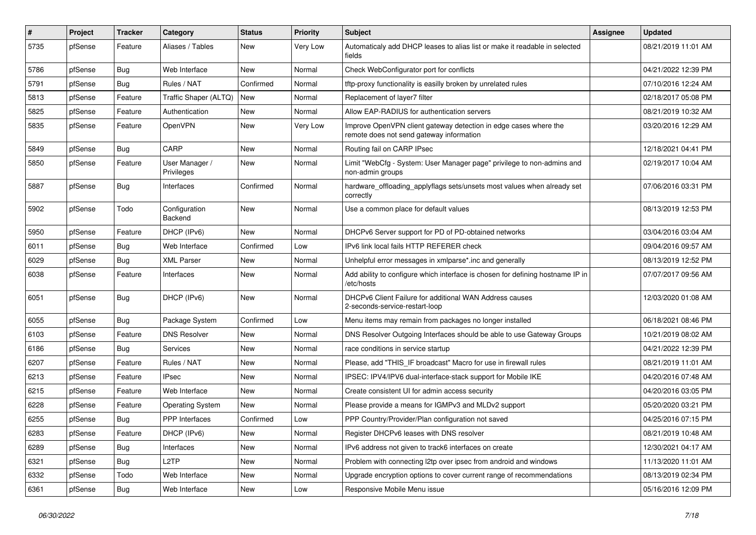| $\sharp$ | Project | <b>Tracker</b> | Category                     | <b>Status</b> | <b>Priority</b> | Subject                                                                                                      | <b>Assignee</b> | <b>Updated</b>      |
|----------|---------|----------------|------------------------------|---------------|-----------------|--------------------------------------------------------------------------------------------------------------|-----------------|---------------------|
| 5735     | pfSense | Feature        | Aliases / Tables             | New           | <b>Very Low</b> | Automaticaly add DHCP leases to alias list or make it readable in selected<br>fields                         |                 | 08/21/2019 11:01 AM |
| 5786     | pfSense | <b>Bug</b>     | Web Interface                | New           | Normal          | Check WebConfigurator port for conflicts                                                                     |                 | 04/21/2022 12:39 PM |
| 5791     | pfSense | <b>Bug</b>     | Rules / NAT                  | Confirmed     | Normal          | tftp-proxy functionality is easilly broken by unrelated rules                                                |                 | 07/10/2016 12:24 AM |
| 5813     | pfSense | Feature        | Traffic Shaper (ALTQ)        | <b>New</b>    | Normal          | Replacement of layer7 filter                                                                                 |                 | 02/18/2017 05:08 PM |
| 5825     | pfSense | Feature        | Authentication               | New           | Normal          | Allow EAP-RADIUS for authentication servers                                                                  |                 | 08/21/2019 10:32 AM |
| 5835     | pfSense | Feature        | <b>OpenVPN</b>               | New           | Very Low        | Improve OpenVPN client gateway detection in edge cases where the<br>remote does not send gateway information |                 | 03/20/2016 12:29 AM |
| 5849     | pfSense | Bug            | CARP                         | <b>New</b>    | Normal          | Routing fail on CARP IPsec                                                                                   |                 | 12/18/2021 04:41 PM |
| 5850     | pfSense | Feature        | User Manager /<br>Privileges | New           | Normal          | Limit "WebCfg - System: User Manager page" privilege to non-admins and<br>non-admin groups                   |                 | 02/19/2017 10:04 AM |
| 5887     | pfSense | <b>Bug</b>     | Interfaces                   | Confirmed     | Normal          | hardware_offloading_applyflags sets/unsets most values when already set<br>correctly                         |                 | 07/06/2016 03:31 PM |
| 5902     | pfSense | Todo           | Configuration<br>Backend     | New           | Normal          | Use a common place for default values                                                                        |                 | 08/13/2019 12:53 PM |
| 5950     | pfSense | Feature        | DHCP (IPv6)                  | <b>New</b>    | Normal          | DHCPv6 Server support for PD of PD-obtained networks                                                         |                 | 03/04/2016 03:04 AM |
| 6011     | pfSense | <b>Bug</b>     | Web Interface                | Confirmed     | Low             | IPv6 link local fails HTTP REFERER check                                                                     |                 | 09/04/2016 09:57 AM |
| 6029     | pfSense | <b>Bug</b>     | <b>XML Parser</b>            | New           | Normal          | Unhelpful error messages in xmlparse*.inc and generally                                                      |                 | 08/13/2019 12:52 PM |
| 6038     | pfSense | Feature        | Interfaces                   | New           | Normal          | Add ability to configure which interface is chosen for defining hostname IP in<br>/etc/hosts                 |                 | 07/07/2017 09:56 AM |
| 6051     | pfSense | <b>Bug</b>     | DHCP (IPv6)                  | New           | Normal          | DHCPv6 Client Failure for additional WAN Address causes<br>2-seconds-service-restart-loop                    |                 | 12/03/2020 01:08 AM |
| 6055     | pfSense | Bug            | Package System               | Confirmed     | Low             | Menu items may remain from packages no longer installed                                                      |                 | 06/18/2021 08:46 PM |
| 6103     | pfSense | Feature        | <b>DNS Resolver</b>          | New           | Normal          | DNS Resolver Outgoing Interfaces should be able to use Gateway Groups                                        |                 | 10/21/2019 08:02 AM |
| 6186     | pfSense | <b>Bug</b>     | <b>Services</b>              | New           | Normal          | race conditions in service startup                                                                           |                 | 04/21/2022 12:39 PM |
| 6207     | pfSense | Feature        | Rules / NAT                  | New           | Normal          | Please, add "THIS IF broadcast" Macro for use in firewall rules                                              |                 | 08/21/2019 11:01 AM |
| 6213     | pfSense | Feature        | <b>IPsec</b>                 | New           | Normal          | IPSEC: IPV4/IPV6 dual-interface-stack support for Mobile IKE                                                 |                 | 04/20/2016 07:48 AM |
| 6215     | pfSense | Feature        | Web Interface                | New           | Normal          | Create consistent UI for admin access security                                                               |                 | 04/20/2016 03:05 PM |
| 6228     | pfSense | Feature        | <b>Operating System</b>      | New           | Normal          | Please provide a means for IGMPv3 and MLDv2 support                                                          |                 | 05/20/2020 03:21 PM |
| 6255     | pfSense | <b>Bug</b>     | <b>PPP</b> Interfaces        | Confirmed     | Low             | PPP Country/Provider/Plan configuration not saved                                                            |                 | 04/25/2016 07:15 PM |
| 6283     | pfSense | Feature        | DHCP (IPv6)                  | New           | Normal          | Register DHCPv6 leases with DNS resolver                                                                     |                 | 08/21/2019 10:48 AM |
| 6289     | pfSense | Bug            | Interfaces                   | New           | Normal          | IPv6 address not given to track6 interfaces on create                                                        |                 | 12/30/2021 04:17 AM |
| 6321     | pfSense | <b>Bug</b>     | L <sub>2</sub> TP            | New           | Normal          | Problem with connecting I2tp over ipsec from android and windows                                             |                 | 11/13/2020 11:01 AM |
| 6332     | pfSense | Todo           | Web Interface                | New           | Normal          | Upgrade encryption options to cover current range of recommendations                                         |                 | 08/13/2019 02:34 PM |
| 6361     | pfSense | <b>Bug</b>     | Web Interface                | New           | Low             | Responsive Mobile Menu issue                                                                                 |                 | 05/16/2016 12:09 PM |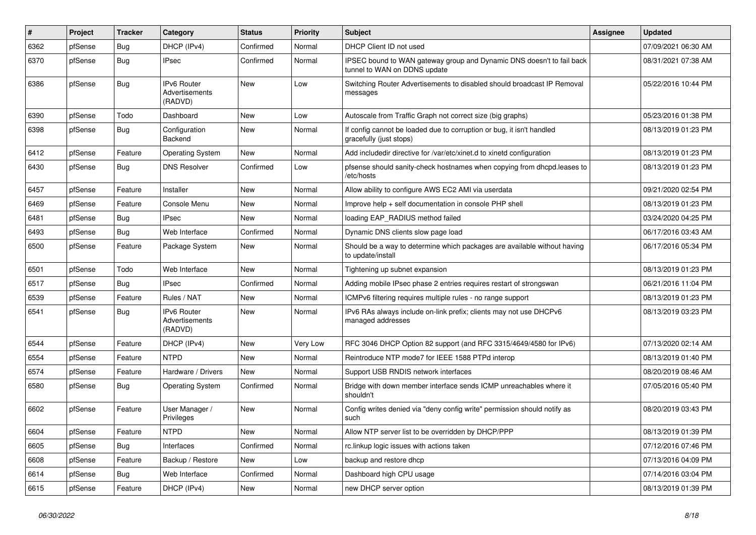| $\vert$ # | Project | <b>Tracker</b> | Category                                        | <b>Status</b> | <b>Priority</b> | Subject                                                                                               | <b>Assignee</b> | <b>Updated</b>      |
|-----------|---------|----------------|-------------------------------------------------|---------------|-----------------|-------------------------------------------------------------------------------------------------------|-----------------|---------------------|
| 6362      | pfSense | <b>Bug</b>     | DHCP (IPv4)                                     | Confirmed     | Normal          | DHCP Client ID not used                                                                               |                 | 07/09/2021 06:30 AM |
| 6370      | pfSense | <b>Bug</b>     | <b>IPsec</b>                                    | Confirmed     | Normal          | IPSEC bound to WAN gateway group and Dynamic DNS doesn't to fail back<br>tunnel to WAN on DDNS update |                 | 08/31/2021 07:38 AM |
| 6386      | pfSense | Bug            | <b>IPv6 Router</b><br>Advertisements<br>(RADVD) | <b>New</b>    | Low             | Switching Router Advertisements to disabled should broadcast IP Removal<br>messages                   |                 | 05/22/2016 10:44 PM |
| 6390      | pfSense | Todo           | Dashboard                                       | <b>New</b>    | Low             | Autoscale from Traffic Graph not correct size (big graphs)                                            |                 | 05/23/2016 01:38 PM |
| 6398      | pfSense | <b>Bug</b>     | Configuration<br><b>Backend</b>                 | New           | Normal          | If config cannot be loaded due to corruption or bug, it isn't handled<br>gracefully (just stops)      |                 | 08/13/2019 01:23 PM |
| 6412      | pfSense | Feature        | <b>Operating System</b>                         | New           | Normal          | Add includedir directive for /var/etc/xinet.d to xinetd configuration                                 |                 | 08/13/2019 01:23 PM |
| 6430      | pfSense | <b>Bug</b>     | <b>DNS Resolver</b>                             | Confirmed     | Low             | pfsense should sanity-check hostnames when copying from dhcpd.leases to<br>/etc/hosts                 |                 | 08/13/2019 01:23 PM |
| 6457      | pfSense | Feature        | Installer                                       | <b>New</b>    | Normal          | Allow ability to configure AWS EC2 AMI via userdata                                                   |                 | 09/21/2020 02:54 PM |
| 6469      | pfSense | Feature        | Console Menu                                    | New           | Normal          | Improve help + self documentation in console PHP shell                                                |                 | 08/13/2019 01:23 PM |
| 6481      | pfSense | <b>Bug</b>     | <b>IPsec</b>                                    | <b>New</b>    | Normal          | loading EAP_RADIUS method failed                                                                      |                 | 03/24/2020 04:25 PM |
| 6493      | pfSense | <b>Bug</b>     | Web Interface                                   | Confirmed     | Normal          | Dynamic DNS clients slow page load                                                                    |                 | 06/17/2016 03:43 AM |
| 6500      | pfSense | Feature        | Package System                                  | New           | Normal          | Should be a way to determine which packages are available without having<br>to update/install         |                 | 06/17/2016 05:34 PM |
| 6501      | pfSense | Todo           | Web Interface                                   | <b>New</b>    | Normal          | Tightening up subnet expansion                                                                        |                 | 08/13/2019 01:23 PM |
| 6517      | pfSense | Bug            | <b>IPsec</b>                                    | Confirmed     | Normal          | Adding mobile IPsec phase 2 entries requires restart of strongswan                                    |                 | 06/21/2016 11:04 PM |
| 6539      | pfSense | Feature        | Rules / NAT                                     | <b>New</b>    | Normal          | ICMPv6 filtering requires multiple rules - no range support                                           |                 | 08/13/2019 01:23 PM |
| 6541      | pfSense | <b>Bug</b>     | <b>IPv6 Router</b><br>Advertisements<br>(RADVD) | New           | Normal          | IPv6 RAs always include on-link prefix; clients may not use DHCPv6<br>managed addresses               |                 | 08/13/2019 03:23 PM |
| 6544      | pfSense | Feature        | DHCP (IPv4)                                     | New           | Very Low        | RFC 3046 DHCP Option 82 support (and RFC 3315/4649/4580 for IPv6)                                     |                 | 07/13/2020 02:14 AM |
| 6554      | pfSense | Feature        | <b>NTPD</b>                                     | New           | Normal          | Reintroduce NTP mode7 for IEEE 1588 PTPd interop                                                      |                 | 08/13/2019 01:40 PM |
| 6574      | pfSense | Feature        | Hardware / Drivers                              | <b>New</b>    | Normal          | Support USB RNDIS network interfaces                                                                  |                 | 08/20/2019 08:46 AM |
| 6580      | pfSense | <b>Bug</b>     | <b>Operating System</b>                         | Confirmed     | Normal          | Bridge with down member interface sends ICMP unreachables where it<br>shouldn't                       |                 | 07/05/2016 05:40 PM |
| 6602      | pfSense | Feature        | User Manager /<br>Privileges                    | New           | Normal          | Config writes denied via "deny config write" permission should notify as<br>such                      |                 | 08/20/2019 03:43 PM |
| 6604      | pfSense | Feature        | <b>NTPD</b>                                     | New           | Normal          | Allow NTP server list to be overridden by DHCP/PPP                                                    |                 | 08/13/2019 01:39 PM |
| 6605      | pfSense | Bug            | Interfaces                                      | Confirmed     | Normal          | rc.linkup logic issues with actions taken                                                             |                 | 07/12/2016 07:46 PM |
| 6608      | pfSense | Feature        | Backup / Restore                                | New           | Low             | backup and restore dhcp                                                                               |                 | 07/13/2016 04:09 PM |
| 6614      | pfSense | Bug            | Web Interface                                   | Confirmed     | Normal          | Dashboard high CPU usage                                                                              |                 | 07/14/2016 03:04 PM |
| 6615      | pfSense | Feature        | DHCP (IPv4)                                     | New           | Normal          | new DHCP server option                                                                                |                 | 08/13/2019 01:39 PM |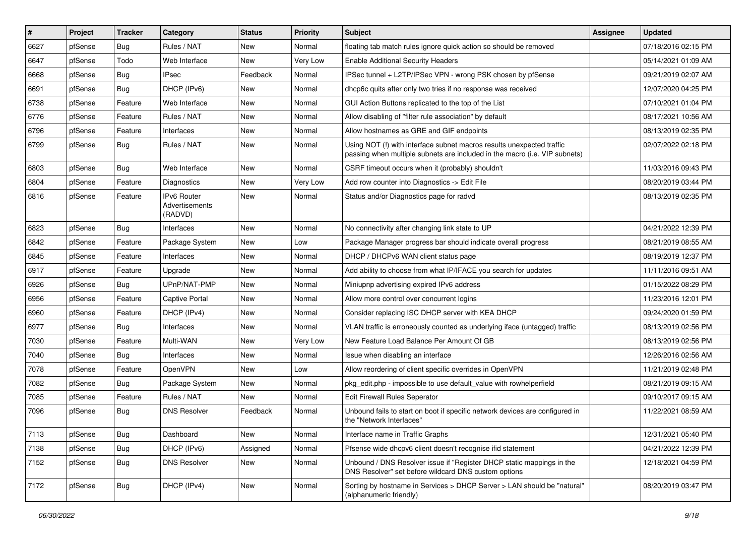| $\vert$ # | Project | <b>Tracker</b> | Category                                        | <b>Status</b> | <b>Priority</b> | <b>Subject</b>                                                                                                                                      | <b>Assignee</b> | <b>Updated</b>      |
|-----------|---------|----------------|-------------------------------------------------|---------------|-----------------|-----------------------------------------------------------------------------------------------------------------------------------------------------|-----------------|---------------------|
| 6627      | pfSense | Bug            | Rules / NAT                                     | New           | Normal          | floating tab match rules ignore quick action so should be removed                                                                                   |                 | 07/18/2016 02:15 PM |
| 6647      | pfSense | Todo           | Web Interface                                   | New           | Very Low        | <b>Enable Additional Security Headers</b>                                                                                                           |                 | 05/14/2021 01:09 AM |
| 6668      | pfSense | Bug            | <b>IPsec</b>                                    | Feedback      | Normal          | IPSec tunnel + L2TP/IPSec VPN - wrong PSK chosen by pfSense                                                                                         |                 | 09/21/2019 02:07 AM |
| 6691      | pfSense | Bug            | DHCP (IPv6)                                     | New           | Normal          | dhcp6c quits after only two tries if no response was received                                                                                       |                 | 12/07/2020 04:25 PM |
| 6738      | pfSense | Feature        | Web Interface                                   | New           | Normal          | GUI Action Buttons replicated to the top of the List                                                                                                |                 | 07/10/2021 01:04 PM |
| 6776      | pfSense | Feature        | Rules / NAT                                     | New           | Normal          | Allow disabling of "filter rule association" by default                                                                                             |                 | 08/17/2021 10:56 AM |
| 6796      | pfSense | Feature        | Interfaces                                      | New           | Normal          | Allow hostnames as GRE and GIF endpoints                                                                                                            |                 | 08/13/2019 02:35 PM |
| 6799      | pfSense | Bug            | Rules / NAT                                     | New           | Normal          | Using NOT (!) with interface subnet macros results unexpected traffic<br>passing when multiple subnets are included in the macro (i.e. VIP subnets) |                 | 02/07/2022 02:18 PM |
| 6803      | pfSense | <b>Bug</b>     | Web Interface                                   | New           | Normal          | CSRF timeout occurs when it (probably) shouldn't                                                                                                    |                 | 11/03/2016 09:43 PM |
| 6804      | pfSense | Feature        | <b>Diagnostics</b>                              | New           | Very Low        | Add row counter into Diagnostics -> Edit File                                                                                                       |                 | 08/20/2019 03:44 PM |
| 6816      | pfSense | Feature        | <b>IPv6 Router</b><br>Advertisements<br>(RADVD) | New           | Normal          | Status and/or Diagnostics page for radvd                                                                                                            |                 | 08/13/2019 02:35 PM |
| 6823      | pfSense | <b>Bug</b>     | Interfaces                                      | <b>New</b>    | Normal          | No connectivity after changing link state to UP                                                                                                     |                 | 04/21/2022 12:39 PM |
| 6842      | pfSense | Feature        | Package System                                  | New           | Low             | Package Manager progress bar should indicate overall progress                                                                                       |                 | 08/21/2019 08:55 AM |
| 6845      | pfSense | Feature        | Interfaces                                      | New           | Normal          | DHCP / DHCPv6 WAN client status page                                                                                                                |                 | 08/19/2019 12:37 PM |
| 6917      | pfSense | Feature        | Upgrade                                         | New           | Normal          | Add ability to choose from what IP/IFACE you search for updates                                                                                     |                 | 11/11/2016 09:51 AM |
| 6926      | pfSense | Bug            | UPnP/NAT-PMP                                    | New           | Normal          | Miniupnp advertising expired IPv6 address                                                                                                           |                 | 01/15/2022 08:29 PM |
| 6956      | pfSense | Feature        | <b>Captive Portal</b>                           | New           | Normal          | Allow more control over concurrent logins                                                                                                           |                 | 11/23/2016 12:01 PM |
| 6960      | pfSense | Feature        | DHCP (IPv4)                                     | New           | Normal          | Consider replacing ISC DHCP server with KEA DHCP                                                                                                    |                 | 09/24/2020 01:59 PM |
| 6977      | pfSense | Bug            | Interfaces                                      | New           | Normal          | VLAN traffic is erroneously counted as underlying iface (untagged) traffic                                                                          |                 | 08/13/2019 02:56 PM |
| 7030      | pfSense | Feature        | Multi-WAN                                       | New           | Very Low        | New Feature Load Balance Per Amount Of GB                                                                                                           |                 | 08/13/2019 02:56 PM |
| 7040      | pfSense | <b>Bug</b>     | Interfaces                                      | New           | Normal          | Issue when disabling an interface                                                                                                                   |                 | 12/26/2016 02:56 AM |
| 7078      | pfSense | Feature        | OpenVPN                                         | New           | Low             | Allow reordering of client specific overrides in OpenVPN                                                                                            |                 | 11/21/2019 02:48 PM |
| 7082      | pfSense | <b>Bug</b>     | Package System                                  | New           | Normal          | pkg_edit.php - impossible to use default_value with rowhelperfield                                                                                  |                 | 08/21/2019 09:15 AM |
| 7085      | pfSense | Feature        | Rules / NAT                                     | New           | Normal          | <b>Edit Firewall Rules Seperator</b>                                                                                                                |                 | 09/10/2017 09:15 AM |
| 7096      | pfSense | <b>Bug</b>     | <b>DNS Resolver</b>                             | Feedback      | Normal          | Unbound fails to start on boot if specific network devices are configured in<br>the "Network Interfaces"                                            |                 | 11/22/2021 08:59 AM |
| 7113      | pfSense | <b>Bug</b>     | Dashboard                                       | New           | Normal          | Interface name in Traffic Graphs                                                                                                                    |                 | 12/31/2021 05:40 PM |
| 7138      | pfSense | <b>Bug</b>     | DHCP (IPv6)                                     | Assigned      | Normal          | Pfsense wide dhcpv6 client doesn't recognise ifid statement                                                                                         |                 | 04/21/2022 12:39 PM |
| 7152      | pfSense | <b>Bug</b>     | <b>DNS Resolver</b>                             | New           | Normal          | Unbound / DNS Resolver issue if "Register DHCP static mappings in the<br>DNS Resolver" set before wildcard DNS custom options                       |                 | 12/18/2021 04:59 PM |
| 7172      | pfSense | <b>Bug</b>     | DHCP (IPv4)                                     | New           | Normal          | Sorting by hostname in Services > DHCP Server > LAN should be "natural"<br>(alphanumeric friendly)                                                  |                 | 08/20/2019 03:47 PM |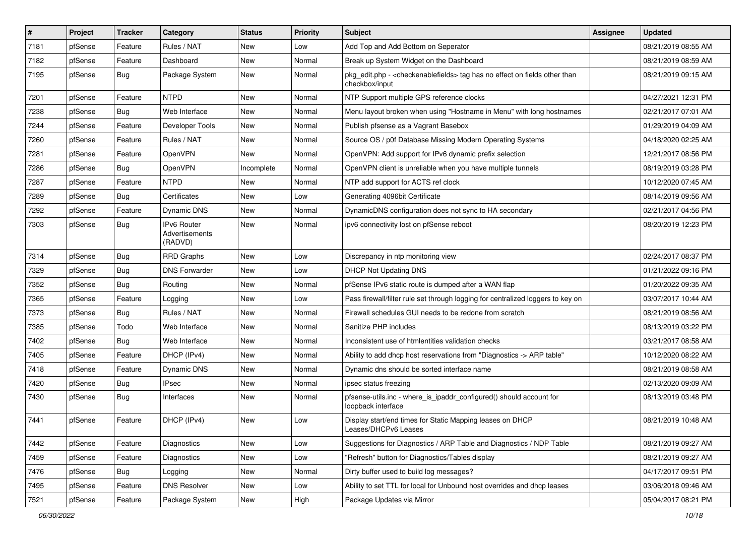| $\sharp$ | Project | <b>Tracker</b> | Category                                 | <b>Status</b> | <b>Priority</b> | Subject                                                                                                          | <b>Assignee</b> | <b>Updated</b>      |
|----------|---------|----------------|------------------------------------------|---------------|-----------------|------------------------------------------------------------------------------------------------------------------|-----------------|---------------------|
| 7181     | pfSense | Feature        | Rules / NAT                              | New           | Low             | Add Top and Add Bottom on Seperator                                                                              |                 | 08/21/2019 08:55 AM |
| 7182     | pfSense | Feature        | Dashboard                                | New           | Normal          | Break up System Widget on the Dashboard                                                                          |                 | 08/21/2019 08:59 AM |
| 7195     | pfSense | <b>Bug</b>     | Package System                           | New           | Normal          | pkg_edit.php - <checkenablefields> tag has no effect on fields other than<br/>checkbox/input</checkenablefields> |                 | 08/21/2019 09:15 AM |
| 7201     | pfSense | Feature        | <b>NTPD</b>                              | <b>New</b>    | Normal          | NTP Support multiple GPS reference clocks                                                                        |                 | 04/27/2021 12:31 PM |
| 7238     | pfSense | <b>Bug</b>     | Web Interface                            | New           | Normal          | Menu layout broken when using "Hostname in Menu" with long hostnames                                             |                 | 02/21/2017 07:01 AM |
| 7244     | pfSense | Feature        | Developer Tools                          | New           | Normal          | Publish pfsense as a Vagrant Basebox                                                                             |                 | 01/29/2019 04:09 AM |
| 7260     | pfSense | Feature        | Rules / NAT                              | New           | Normal          | Source OS / p0f Database Missing Modern Operating Systems                                                        |                 | 04/18/2020 02:25 AM |
| 7281     | pfSense | Feature        | <b>OpenVPN</b>                           | New           | Normal          | OpenVPN: Add support for IPv6 dynamic prefix selection                                                           |                 | 12/21/2017 08:56 PM |
| 7286     | pfSense | <b>Bug</b>     | OpenVPN                                  | Incomplete    | Normal          | OpenVPN client is unreliable when you have multiple tunnels                                                      |                 | 08/19/2019 03:28 PM |
| 7287     | pfSense | Feature        | <b>NTPD</b>                              | New           | Normal          | NTP add support for ACTS ref clock                                                                               |                 | 10/12/2020 07:45 AM |
| 7289     | pfSense | <b>Bug</b>     | Certificates                             | New           | Low             | Generating 4096bit Certificate                                                                                   |                 | 08/14/2019 09:56 AM |
| 7292     | pfSense | Feature        | <b>Dynamic DNS</b>                       | New           | Normal          | DynamicDNS configuration does not sync to HA secondary                                                           |                 | 02/21/2017 04:56 PM |
| 7303     | pfSense | <b>Bug</b>     | IPv6 Router<br>Advertisements<br>(RADVD) | New           | Normal          | ipv6 connectivity lost on pfSense reboot                                                                         |                 | 08/20/2019 12:23 PM |
| 7314     | pfSense | <b>Bug</b>     | <b>RRD Graphs</b>                        | <b>New</b>    | Low             | Discrepancy in ntp monitoring view                                                                               |                 | 02/24/2017 08:37 PM |
| 7329     | pfSense | <b>Bug</b>     | <b>DNS Forwarder</b>                     | <b>New</b>    | Low             | <b>DHCP Not Updating DNS</b>                                                                                     |                 | 01/21/2022 09:16 PM |
| 7352     | pfSense | <b>Bug</b>     | Routing                                  | New           | Normal          | pfSense IPv6 static route is dumped after a WAN flap                                                             |                 | 01/20/2022 09:35 AM |
| 7365     | pfSense | Feature        | Logging                                  | New           | Low             | Pass firewall/filter rule set through logging for centralized loggers to key on                                  |                 | 03/07/2017 10:44 AM |
| 7373     | pfSense | <b>Bug</b>     | Rules / NAT                              | <b>New</b>    | Normal          | Firewall schedules GUI needs to be redone from scratch                                                           |                 | 08/21/2019 08:56 AM |
| 7385     | pfSense | Todo           | Web Interface                            | New           | Normal          | Sanitize PHP includes                                                                                            |                 | 08/13/2019 03:22 PM |
| 7402     | pfSense | <b>Bug</b>     | Web Interface                            | New           | Normal          | Inconsistent use of htmlentities validation checks                                                               |                 | 03/21/2017 08:58 AM |
| 7405     | pfSense | Feature        | DHCP (IPv4)                              | New           | Normal          | Ability to add dhcp host reservations from "Diagnostics -> ARP table"                                            |                 | 10/12/2020 08:22 AM |
| 7418     | pfSense | Feature        | Dynamic DNS                              | New           | Normal          | Dynamic dns should be sorted interface name                                                                      |                 | 08/21/2019 08:58 AM |
| 7420     | pfSense | <b>Bug</b>     | <b>IPsec</b>                             | <b>New</b>    | Normal          | ipsec status freezing                                                                                            |                 | 02/13/2020 09:09 AM |
| 7430     | pfSense | <b>Bug</b>     | Interfaces                               | New           | Normal          | pfsense-utils.inc - where_is_ipaddr_configured() should account for<br>loopback interface                        |                 | 08/13/2019 03:48 PM |
| 7441     | pfSense | Feature        | DHCP (IPv4)                              | New           | Low             | Display start/end times for Static Mapping leases on DHCP<br>Leases/DHCPv6 Leases                                |                 | 08/21/2019 10:48 AM |
| 7442     | pfSense | Feature        | Diagnostics                              | <b>New</b>    | Low             | Suggestions for Diagnostics / ARP Table and Diagnostics / NDP Table                                              |                 | 08/21/2019 09:27 AM |
| 7459     | pfSense | Feature        | Diagnostics                              | New           | Low             | "Refresh" button for Diagnostics/Tables display                                                                  |                 | 08/21/2019 09:27 AM |
| 7476     | pfSense | Bug            | Logging                                  | New           | Normal          | Dirty buffer used to build log messages?                                                                         |                 | 04/17/2017 09:51 PM |
| 7495     | pfSense | Feature        | <b>DNS Resolver</b>                      | New           | Low             | Ability to set TTL for local for Unbound host overrides and dhcp leases                                          |                 | 03/06/2018 09:46 AM |
| 7521     | pfSense | Feature        | Package System                           | New           | High            | Package Updates via Mirror                                                                                       |                 | 05/04/2017 08:21 PM |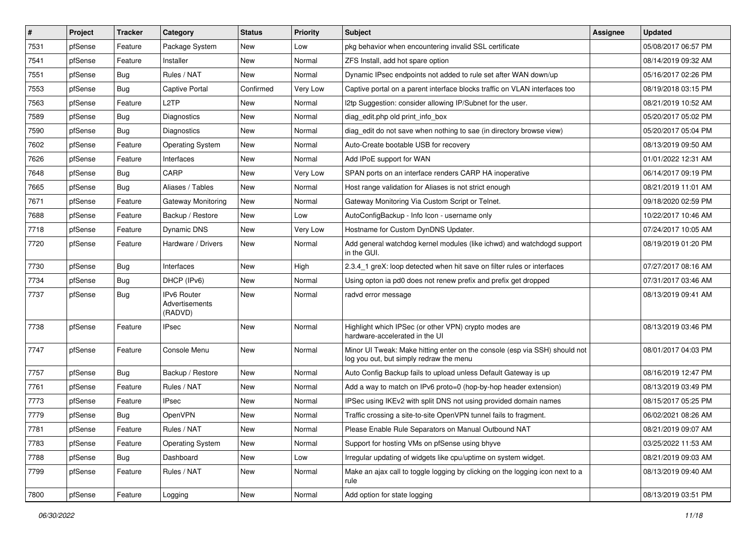| $\vert$ # | Project | <b>Tracker</b> | Category                                        | <b>Status</b> | <b>Priority</b> | Subject                                                                                                               | <b>Assignee</b> | <b>Updated</b>      |
|-----------|---------|----------------|-------------------------------------------------|---------------|-----------------|-----------------------------------------------------------------------------------------------------------------------|-----------------|---------------------|
| 7531      | pfSense | Feature        | Package System                                  | New           | Low             | pkg behavior when encountering invalid SSL certificate                                                                |                 | 05/08/2017 06:57 PM |
| 7541      | pfSense | Feature        | Installer                                       | New           | Normal          | ZFS Install, add hot spare option                                                                                     |                 | 08/14/2019 09:32 AM |
| 7551      | pfSense | <b>Bug</b>     | Rules / NAT                                     | New           | Normal          | Dynamic IPsec endpoints not added to rule set after WAN down/up                                                       |                 | 05/16/2017 02:26 PM |
| 7553      | pfSense | <b>Bug</b>     | Captive Portal                                  | Confirmed     | Very Low        | Captive portal on a parent interface blocks traffic on VLAN interfaces too                                            |                 | 08/19/2018 03:15 PM |
| 7563      | pfSense | Feature        | L <sub>2</sub> TP                               | New           | Normal          | I2tp Suggestion: consider allowing IP/Subnet for the user.                                                            |                 | 08/21/2019 10:52 AM |
| 7589      | pfSense | <b>Bug</b>     | <b>Diagnostics</b>                              | New           | Normal          | diag edit.php old print info box                                                                                      |                 | 05/20/2017 05:02 PM |
| 7590      | pfSense | <b>Bug</b>     | Diagnostics                                     | New           | Normal          | diag edit do not save when nothing to sae (in directory browse view)                                                  |                 | 05/20/2017 05:04 PM |
| 7602      | pfSense | Feature        | <b>Operating System</b>                         | New           | Normal          | Auto-Create bootable USB for recovery                                                                                 |                 | 08/13/2019 09:50 AM |
| 7626      | pfSense | Feature        | Interfaces                                      | New           | Normal          | Add IPoE support for WAN                                                                                              |                 | 01/01/2022 12:31 AM |
| 7648      | pfSense | <b>Bug</b>     | CARP                                            | <b>New</b>    | <b>Very Low</b> | SPAN ports on an interface renders CARP HA inoperative                                                                |                 | 06/14/2017 09:19 PM |
| 7665      | pfSense | <b>Bug</b>     | Aliases / Tables                                | New           | Normal          | Host range validation for Aliases is not strict enough                                                                |                 | 08/21/2019 11:01 AM |
| 7671      | pfSense | Feature        | Gateway Monitoring                              | New           | Normal          | Gateway Monitoring Via Custom Script or Telnet.                                                                       |                 | 09/18/2020 02:59 PM |
| 7688      | pfSense | Feature        | Backup / Restore                                | <b>New</b>    | Low             | AutoConfigBackup - Info Icon - username only                                                                          |                 | 10/22/2017 10:46 AM |
| 7718      | pfSense | Feature        | Dynamic DNS                                     | New           | Very Low        | Hostname for Custom DynDNS Updater.                                                                                   |                 | 07/24/2017 10:05 AM |
| 7720      | pfSense | Feature        | Hardware / Drivers                              | New           | Normal          | Add general watchdog kernel modules (like ichwd) and watchdogd support<br>in the GUI.                                 |                 | 08/19/2019 01:20 PM |
| 7730      | pfSense | <b>Bug</b>     | Interfaces                                      | New           | High            | 2.3.4 1 greX: loop detected when hit save on filter rules or interfaces                                               |                 | 07/27/2017 08:16 AM |
| 7734      | pfSense | <b>Bug</b>     | DHCP (IPv6)                                     | <b>New</b>    | Normal          | Using opton ia pd0 does not renew prefix and prefix get dropped                                                       |                 | 07/31/2017 03:46 AM |
| 7737      | pfSense | <b>Bug</b>     | <b>IPv6 Router</b><br>Advertisements<br>(RADVD) | New           | Normal          | radvd error message                                                                                                   |                 | 08/13/2019 09:41 AM |
| 7738      | pfSense | Feature        | <b>IPsec</b>                                    | New           | Normal          | Highlight which IPSec (or other VPN) crypto modes are<br>hardware-accelerated in the UI                               |                 | 08/13/2019 03:46 PM |
| 7747      | pfSense | Feature        | Console Menu                                    | <b>New</b>    | Normal          | Minor UI Tweak: Make hitting enter on the console (esp via SSH) should not<br>log you out, but simply redraw the menu |                 | 08/01/2017 04:03 PM |
| 7757      | pfSense | <b>Bug</b>     | Backup / Restore                                | New           | Normal          | Auto Config Backup fails to upload unless Default Gateway is up                                                       |                 | 08/16/2019 12:47 PM |
| 7761      | pfSense | Feature        | Rules / NAT                                     | New           | Normal          | Add a way to match on IPv6 proto=0 (hop-by-hop header extension)                                                      |                 | 08/13/2019 03:49 PM |
| 7773      | pfSense | Feature        | <b>IPsec</b>                                    | New           | Normal          | IPSec using IKEv2 with split DNS not using provided domain names                                                      |                 | 08/15/2017 05:25 PM |
| 7779      | pfSense | <b>Bug</b>     | OpenVPN                                         | New           | Normal          | Traffic crossing a site-to-site OpenVPN tunnel fails to fragment.                                                     |                 | 06/02/2021 08:26 AM |
| 7781      | pfSense | Feature        | Rules / NAT                                     | New           | Normal          | Please Enable Rule Separators on Manual Outbound NAT                                                                  |                 | 08/21/2019 09:07 AM |
| 7783      | pfSense | Feature        | <b>Operating System</b>                         | New           | Normal          | Support for hosting VMs on pfSense using bhyve                                                                        |                 | 03/25/2022 11:53 AM |
| 7788      | pfSense | Bug            | Dashboard                                       | New           | Low             | Irregular updating of widgets like cpu/uptime on system widget.                                                       |                 | 08/21/2019 09:03 AM |
| 7799      | pfSense | Feature        | Rules / NAT                                     | New           | Normal          | Make an ajax call to toggle logging by clicking on the logging icon next to a<br>rule                                 |                 | 08/13/2019 09:40 AM |
| 7800      | pfSense | Feature        | Logging                                         | New           | Normal          | Add option for state logging                                                                                          |                 | 08/13/2019 03:51 PM |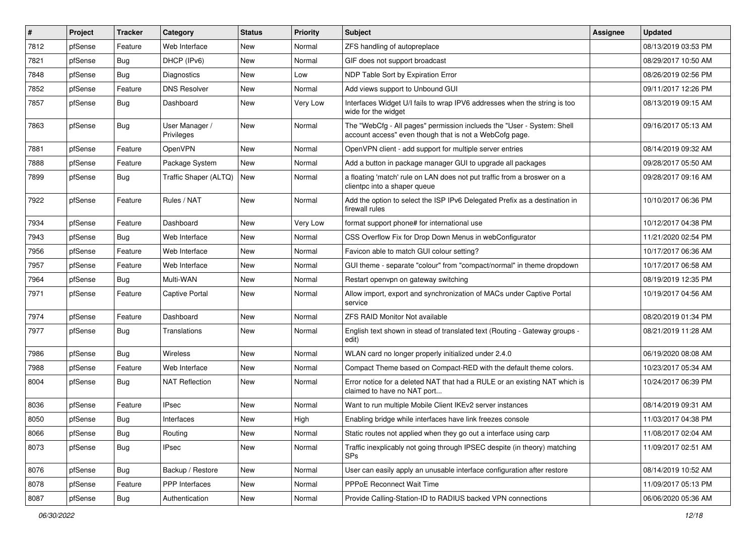| $\vert$ # | Project | <b>Tracker</b> | Category                     | <b>Status</b> | <b>Priority</b> | Subject                                                                                                                           | <b>Assignee</b> | <b>Updated</b>      |
|-----------|---------|----------------|------------------------------|---------------|-----------------|-----------------------------------------------------------------------------------------------------------------------------------|-----------------|---------------------|
| 7812      | pfSense | Feature        | Web Interface                | New           | Normal          | ZFS handling of autopreplace                                                                                                      |                 | 08/13/2019 03:53 PM |
| 7821      | pfSense | <b>Bug</b>     | DHCP (IPv6)                  | <b>New</b>    | Normal          | GIF does not support broadcast                                                                                                    |                 | 08/29/2017 10:50 AM |
| 7848      | pfSense | <b>Bug</b>     | <b>Diagnostics</b>           | New           | Low             | NDP Table Sort by Expiration Error                                                                                                |                 | 08/26/2019 02:56 PM |
| 7852      | pfSense | Feature        | <b>DNS Resolver</b>          | New           | Normal          | Add views support to Unbound GUI                                                                                                  |                 | 09/11/2017 12:26 PM |
| 7857      | pfSense | Bug            | Dashboard                    | <b>New</b>    | <b>Very Low</b> | Interfaces Widget U/I fails to wrap IPV6 addresses when the string is too<br>wide for the widget                                  |                 | 08/13/2019 09:15 AM |
| 7863      | pfSense | Bug            | User Manager /<br>Privileges | New           | Normal          | The "WebCfg - All pages" permission inclueds the "User - System: Shell<br>account access" even though that is not a WebCofg page. |                 | 09/16/2017 05:13 AM |
| 7881      | pfSense | Feature        | OpenVPN                      | New           | Normal          | OpenVPN client - add support for multiple server entries                                                                          |                 | 08/14/2019 09:32 AM |
| 7888      | pfSense | Feature        | Package System               | New           | Normal          | Add a button in package manager GUI to upgrade all packages                                                                       |                 | 09/28/2017 05:50 AM |
| 7899      | pfSense | <b>Bug</b>     | Traffic Shaper (ALTQ)        | New           | Normal          | a floating 'match' rule on LAN does not put traffic from a broswer on a<br>clientpc into a shaper queue                           |                 | 09/28/2017 09:16 AM |
| 7922      | pfSense | Feature        | Rules / NAT                  | <b>New</b>    | Normal          | Add the option to select the ISP IPv6 Delegated Prefix as a destination in<br>firewall rules                                      |                 | 10/10/2017 06:36 PM |
| 7934      | pfSense | Feature        | Dashboard                    | New           | Very Low        | format support phone# for international use                                                                                       |                 | 10/12/2017 04:38 PM |
| 7943      | pfSense | Bug            | Web Interface                | New           | Normal          | CSS Overflow Fix for Drop Down Menus in webConfigurator                                                                           |                 | 11/21/2020 02:54 PM |
| 7956      | pfSense | Feature        | Web Interface                | New           | Normal          | Favicon able to match GUI colour setting?                                                                                         |                 | 10/17/2017 06:36 AM |
| 7957      | pfSense | Feature        | Web Interface                | New           | Normal          | GUI theme - separate "colour" from "compact/normal" in theme dropdown                                                             |                 | 10/17/2017 06:58 AM |
| 7964      | pfSense | <b>Bug</b>     | Multi-WAN                    | New           | Normal          | Restart openvpn on gateway switching                                                                                              |                 | 08/19/2019 12:35 PM |
| 7971      | pfSense | Feature        | <b>Captive Portal</b>        | New           | Normal          | Allow import, export and synchronization of MACs under Captive Portal<br>service                                                  |                 | 10/19/2017 04:56 AM |
| 7974      | pfSense | Feature        | Dashboard                    | <b>New</b>    | Normal          | <b>ZFS RAID Monitor Not available</b>                                                                                             |                 | 08/20/2019 01:34 PM |
| 7977      | pfSense | <b>Bug</b>     | Translations                 | New           | Normal          | English text shown in stead of translated text (Routing - Gateway groups -<br>edit)                                               |                 | 08/21/2019 11:28 AM |
| 7986      | pfSense | Bug            | Wireless                     | New           | Normal          | WLAN card no longer properly initialized under 2.4.0                                                                              |                 | 06/19/2020 08:08 AM |
| 7988      | pfSense | Feature        | Web Interface                | New           | Normal          | Compact Theme based on Compact-RED with the default theme colors.                                                                 |                 | 10/23/2017 05:34 AM |
| 8004      | pfSense | <b>Bug</b>     | <b>NAT Reflection</b>        | New           | Normal          | Error notice for a deleted NAT that had a RULE or an existing NAT which is<br>claimed to have no NAT port                         |                 | 10/24/2017 06:39 PM |
| 8036      | pfSense | Feature        | <b>IPsec</b>                 | <b>New</b>    | Normal          | Want to run multiple Mobile Client IKEv2 server instances                                                                         |                 | 08/14/2019 09:31 AM |
| 8050      | pfSense | <b>Bug</b>     | Interfaces                   | New           | High            | Enabling bridge while interfaces have link freezes console                                                                        |                 | 11/03/2017 04:38 PM |
| 8066      | pfSense | <b>Bug</b>     | Routing                      | New           | Normal          | Static routes not applied when they go out a interface using carp                                                                 |                 | 11/08/2017 02:04 AM |
| 8073      | pfSense | <b>Bug</b>     | <b>IPsec</b>                 | New           | Normal          | Traffic inexplicably not going through IPSEC despite (in theory) matching<br>SPs                                                  |                 | 11/09/2017 02:51 AM |
| 8076      | pfSense | <b>Bug</b>     | Backup / Restore             | New           | Normal          | User can easily apply an unusable interface configuration after restore                                                           |                 | 08/14/2019 10:52 AM |
| 8078      | pfSense | Feature        | PPP Interfaces               | New           | Normal          | PPPoE Reconnect Wait Time                                                                                                         |                 | 11/09/2017 05:13 PM |
| 8087      | pfSense | <b>Bug</b>     | Authentication               | New           | Normal          | Provide Calling-Station-ID to RADIUS backed VPN connections                                                                       |                 | 06/06/2020 05:36 AM |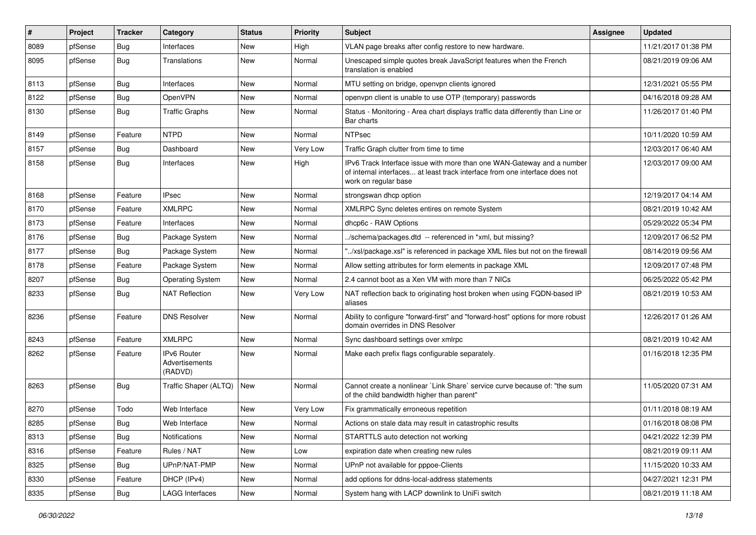| $\vert$ # | Project | <b>Tracker</b> | Category                                 | <b>Status</b> | <b>Priority</b> | Subject                                                                                                                                                                       | <b>Assignee</b> | <b>Updated</b>      |
|-----------|---------|----------------|------------------------------------------|---------------|-----------------|-------------------------------------------------------------------------------------------------------------------------------------------------------------------------------|-----------------|---------------------|
| 8089      | pfSense | <b>Bug</b>     | Interfaces                               | New           | High            | VLAN page breaks after config restore to new hardware.                                                                                                                        |                 | 11/21/2017 01:38 PM |
| 8095      | pfSense | <b>Bug</b>     | Translations                             | New           | Normal          | Unescaped simple quotes break JavaScript features when the French<br>translation is enabled                                                                                   |                 | 08/21/2019 09:06 AM |
| 8113      | pfSense | <b>Bug</b>     | Interfaces                               | New           | Normal          | MTU setting on bridge, openvpn clients ignored                                                                                                                                |                 | 12/31/2021 05:55 PM |
| 8122      | pfSense | <b>Bug</b>     | OpenVPN                                  | New           | Normal          | openvpn client is unable to use OTP (temporary) passwords                                                                                                                     |                 | 04/16/2018 09:28 AM |
| 8130      | pfSense | <b>Bug</b>     | <b>Traffic Graphs</b>                    | New           | Normal          | Status - Monitoring - Area chart displays traffic data differently than Line or<br>Bar charts                                                                                 |                 | 11/26/2017 01:40 PM |
| 8149      | pfSense | Feature        | <b>NTPD</b>                              | <b>New</b>    | Normal          | <b>NTPsec</b>                                                                                                                                                                 |                 | 10/11/2020 10:59 AM |
| 8157      | pfSense | Bug            | Dashboard                                | New           | Very Low        | Traffic Graph clutter from time to time                                                                                                                                       |                 | 12/03/2017 06:40 AM |
| 8158      | pfSense | <b>Bug</b>     | Interfaces                               | New           | High            | IPv6 Track Interface issue with more than one WAN-Gateway and a number<br>of internal interfaces at least track interface from one interface does not<br>work on regular base |                 | 12/03/2017 09:00 AM |
| 8168      | pfSense | Feature        | <b>IPsec</b>                             | <b>New</b>    | Normal          | strongswan dhcp option                                                                                                                                                        |                 | 12/19/2017 04:14 AM |
| 8170      | pfSense | Feature        | <b>XMLRPC</b>                            | New           | Normal          | XMLRPC Sync deletes entires on remote System                                                                                                                                  |                 | 08/21/2019 10:42 AM |
| 8173      | pfSense | Feature        | Interfaces                               | <b>New</b>    | Normal          | dhcp6c - RAW Options                                                                                                                                                          |                 | 05/29/2022 05:34 PM |
| 8176      | pfSense | <b>Bug</b>     | Package System                           | New           | Normal          | ./schema/packages.dtd -- referenced in *xml, but missing?                                                                                                                     |                 | 12/09/2017 06:52 PM |
| 8177      | pfSense | Bug            | Package System                           | New           | Normal          | "/xsl/package.xsl" is referenced in package XML files but not on the firewall                                                                                                 |                 | 08/14/2019 09:56 AM |
| 8178      | pfSense | Feature        | Package System                           | New           | Normal          | Allow setting attributes for form elements in package XML                                                                                                                     |                 | 12/09/2017 07:48 PM |
| 8207      | pfSense | Bug            | <b>Operating System</b>                  | New           | Normal          | 2.4 cannot boot as a Xen VM with more than 7 NICs                                                                                                                             |                 | 06/25/2022 05:42 PM |
| 8233      | pfSense | <b>Bug</b>     | <b>NAT Reflection</b>                    | New           | Very Low        | NAT reflection back to originating host broken when using FQDN-based IP<br>aliases                                                                                            |                 | 08/21/2019 10:53 AM |
| 8236      | pfSense | Feature        | <b>DNS Resolver</b>                      | New           | Normal          | Ability to configure "forward-first" and "forward-host" options for more robust<br>domain overrides in DNS Resolver                                                           |                 | 12/26/2017 01:26 AM |
| 8243      | pfSense | Feature        | <b>XMLRPC</b>                            | <b>New</b>    | Normal          | Sync dashboard settings over xmlrpc                                                                                                                                           |                 | 08/21/2019 10:42 AM |
| 8262      | pfSense | Feature        | IPv6 Router<br>Advertisements<br>(RADVD) | New           | Normal          | Make each prefix flags configurable separately.                                                                                                                               |                 | 01/16/2018 12:35 PM |
| 8263      | pfSense | <b>Bug</b>     | Traffic Shaper (ALTQ)                    | New           | Normal          | Cannot create a nonlinear `Link Share` service curve because of: "the sum<br>of the child bandwidth higher than parent"                                                       |                 | 11/05/2020 07:31 AM |
| 8270      | pfSense | Todo           | Web Interface                            | New           | <b>Very Low</b> | Fix grammatically erroneous repetition                                                                                                                                        |                 | 01/11/2018 08:19 AM |
| 8285      | pfSense | <b>Bug</b>     | Web Interface                            | New           | Normal          | Actions on stale data may result in catastrophic results                                                                                                                      |                 | 01/16/2018 08:08 PM |
| 8313      | pfSense | Bug            | Notifications                            | New           | Normal          | STARTTLS auto detection not working                                                                                                                                           |                 | 04/21/2022 12:39 PM |
| 8316      | pfSense | Feature        | Rules / NAT                              | New           | Low             | expiration date when creating new rules                                                                                                                                       |                 | 08/21/2019 09:11 AM |
| 8325      | pfSense | <b>Bug</b>     | UPnP/NAT-PMP                             | New           | Normal          | UPnP not available for pppoe-Clients                                                                                                                                          |                 | 11/15/2020 10:33 AM |
| 8330      | pfSense | Feature        | DHCP (IPv4)                              | New           | Normal          | add options for ddns-local-address statements                                                                                                                                 |                 | 04/27/2021 12:31 PM |
| 8335      | pfSense | Bug            | <b>LAGG Interfaces</b>                   | New           | Normal          | System hang with LACP downlink to UniFi switch                                                                                                                                |                 | 08/21/2019 11:18 AM |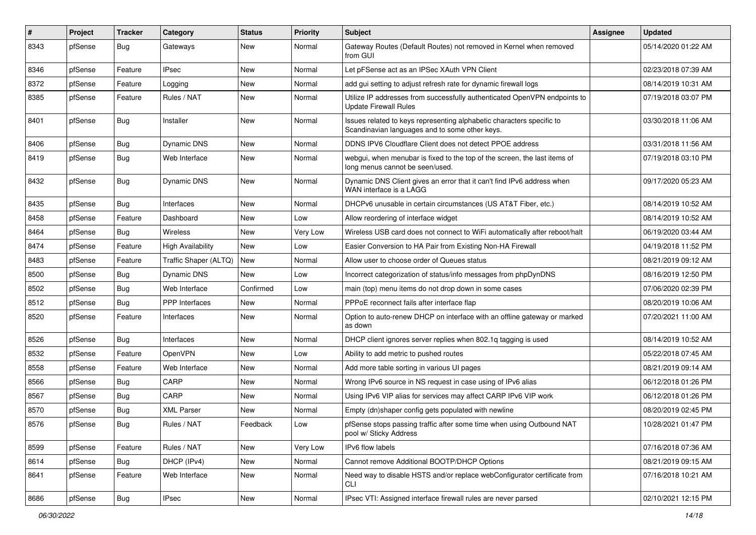| $\vert$ # | Project | <b>Tracker</b> | Category                 | <b>Status</b> | <b>Priority</b> | <b>Subject</b>                                                                                                          | <b>Assignee</b> | <b>Updated</b>      |
|-----------|---------|----------------|--------------------------|---------------|-----------------|-------------------------------------------------------------------------------------------------------------------------|-----------------|---------------------|
| 8343      | pfSense | <b>Bug</b>     | Gateways                 | New           | Normal          | Gateway Routes (Default Routes) not removed in Kernel when removed<br>from GUI                                          |                 | 05/14/2020 01:22 AM |
| 8346      | pfSense | Feature        | <b>IPsec</b>             | New           | Normal          | Let pFSense act as an IPSec XAuth VPN Client                                                                            |                 | 02/23/2018 07:39 AM |
| 8372      | pfSense | Feature        | Logging                  | New           | Normal          | add gui setting to adjust refresh rate for dynamic firewall logs                                                        |                 | 08/14/2019 10:31 AM |
| 8385      | pfSense | Feature        | Rules / NAT              | New           | Normal          | Utilize IP addresses from successfully authenticated OpenVPN endpoints to<br><b>Update Firewall Rules</b>               |                 | 07/19/2018 03:07 PM |
| 8401      | pfSense | <b>Bug</b>     | Installer                | New           | Normal          | Issues related to keys representing alphabetic characters specific to<br>Scandinavian languages and to some other keys. |                 | 03/30/2018 11:06 AM |
| 8406      | pfSense | <b>Bug</b>     | Dynamic DNS              | New           | Normal          | DDNS IPV6 Cloudflare Client does not detect PPOE address                                                                |                 | 03/31/2018 11:56 AM |
| 8419      | pfSense | <b>Bug</b>     | Web Interface            | New           | Normal          | webgui, when menubar is fixed to the top of the screen, the last items of<br>long menus cannot be seen/used.            |                 | 07/19/2018 03:10 PM |
| 8432      | pfSense | <b>Bug</b>     | Dynamic DNS              | New           | Normal          | Dynamic DNS Client gives an error that it can't find IPv6 address when<br>WAN interface is a LAGG                       |                 | 09/17/2020 05:23 AM |
| 8435      | pfSense | <b>Bug</b>     | Interfaces               | New           | Normal          | DHCPv6 unusable in certain circumstances (US AT&T Fiber, etc.)                                                          |                 | 08/14/2019 10:52 AM |
| 8458      | pfSense | Feature        | Dashboard                | New           | Low             | Allow reordering of interface widget                                                                                    |                 | 08/14/2019 10:52 AM |
| 8464      | pfSense | <b>Bug</b>     | <b>Wireless</b>          | New           | Very Low        | Wireless USB card does not connect to WiFi automatically after reboot/halt                                              |                 | 06/19/2020 03:44 AM |
| 8474      | pfSense | Feature        | <b>High Availability</b> | New           | Low             | Easier Conversion to HA Pair from Existing Non-HA Firewall                                                              |                 | 04/19/2018 11:52 PM |
| 8483      | pfSense | Feature        | Traffic Shaper (ALTQ)    | New           | Normal          | Allow user to choose order of Queues status                                                                             |                 | 08/21/2019 09:12 AM |
| 8500      | pfSense | Bug            | Dynamic DNS              | New           | Low             | Incorrect categorization of status/info messages from phpDynDNS                                                         |                 | 08/16/2019 12:50 PM |
| 8502      | pfSense | Bug            | Web Interface            | Confirmed     | Low             | main (top) menu items do not drop down in some cases                                                                    |                 | 07/06/2020 02:39 PM |
| 8512      | pfSense | Bug            | <b>PPP</b> Interfaces    | New           | Normal          | PPPoE reconnect fails after interface flap                                                                              |                 | 08/20/2019 10:06 AM |
| 8520      | pfSense | Feature        | Interfaces               | New           | Normal          | Option to auto-renew DHCP on interface with an offline gateway or marked<br>as down                                     |                 | 07/20/2021 11:00 AM |
| 8526      | pfSense | <b>Bug</b>     | Interfaces               | New           | Normal          | DHCP client ignores server replies when 802.1q tagging is used                                                          |                 | 08/14/2019 10:52 AM |
| 8532      | pfSense | Feature        | OpenVPN                  | New           | Low             | Ability to add metric to pushed routes                                                                                  |                 | 05/22/2018 07:45 AM |
| 8558      | pfSense | Feature        | Web Interface            | New           | Normal          | Add more table sorting in various UI pages                                                                              |                 | 08/21/2019 09:14 AM |
| 8566      | pfSense | <b>Bug</b>     | CARP                     | New           | Normal          | Wrong IPv6 source in NS request in case using of IPv6 alias                                                             |                 | 06/12/2018 01:26 PM |
| 8567      | pfSense | Bug            | CARP                     | New           | Normal          | Using IPv6 VIP alias for services may affect CARP IPv6 VIP work                                                         |                 | 06/12/2018 01:26 PM |
| 8570      | pfSense | <b>Bug</b>     | <b>XML Parser</b>        | New           | Normal          | Empty (dn)shaper config gets populated with newline                                                                     |                 | 08/20/2019 02:45 PM |
| 8576      | pfSense | i Bug          | Rules / NAT              | Feedback      | Low             | pfSense stops passing traffic after some time when using Outbound NAT<br>pool w/ Sticky Address                         |                 | 10/28/2021 01:47 PM |
| 8599      | pfSense | Feature        | Rules / NAT              | New           | Very Low        | IPv6 flow labels                                                                                                        |                 | 07/16/2018 07:36 AM |
| 8614      | pfSense | <b>Bug</b>     | DHCP (IPv4)              | New           | Normal          | Cannot remove Additional BOOTP/DHCP Options                                                                             |                 | 08/21/2019 09:15 AM |
| 8641      | pfSense | Feature        | Web Interface            | New           | Normal          | Need way to disable HSTS and/or replace webConfigurator certificate from<br><b>CLI</b>                                  |                 | 07/16/2018 10:21 AM |
| 8686      | pfSense | <b>Bug</b>     | <b>IPsec</b>             | New           | Normal          | IPsec VTI: Assigned interface firewall rules are never parsed                                                           |                 | 02/10/2021 12:15 PM |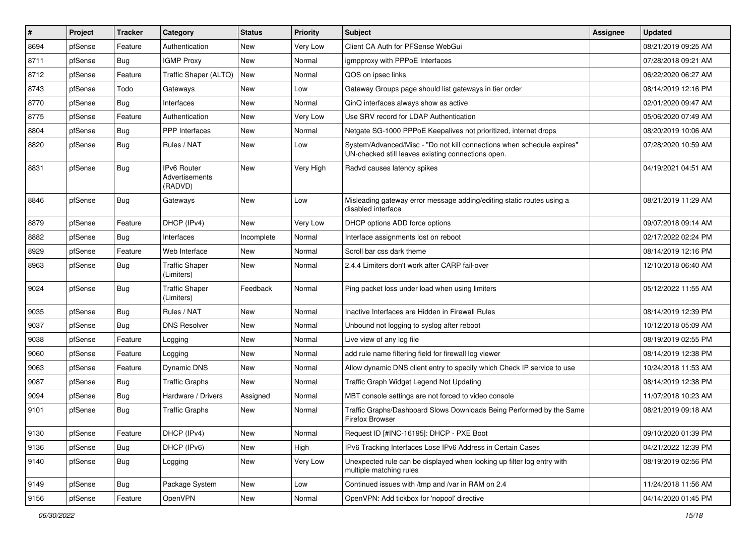| $\vert$ # | Project | <b>Tracker</b> | Category                                        | <b>Status</b> | <b>Priority</b> | Subject                                                                                                                      | <b>Assignee</b> | <b>Updated</b>      |
|-----------|---------|----------------|-------------------------------------------------|---------------|-----------------|------------------------------------------------------------------------------------------------------------------------------|-----------------|---------------------|
| 8694      | pfSense | Feature        | Authentication                                  | New           | Very Low        | Client CA Auth for PFSense WebGui                                                                                            |                 | 08/21/2019 09:25 AM |
| 8711      | pfSense | Bug            | <b>IGMP Proxy</b>                               | New           | Normal          | igmpproxy with PPPoE Interfaces                                                                                              |                 | 07/28/2018 09:21 AM |
| 8712      | pfSense | Feature        | Traffic Shaper (ALTQ)                           | New           | Normal          | QOS on ipsec links                                                                                                           |                 | 06/22/2020 06:27 AM |
| 8743      | pfSense | Todo           | Gateways                                        | New           | Low             | Gateway Groups page should list gateways in tier order                                                                       |                 | 08/14/2019 12:16 PM |
| 8770      | pfSense | <b>Bug</b>     | Interfaces                                      | New           | Normal          | QinQ interfaces always show as active                                                                                        |                 | 02/01/2020 09:47 AM |
| 8775      | pfSense | Feature        | Authentication                                  | New           | Very Low        | Use SRV record for LDAP Authentication                                                                                       |                 | 05/06/2020 07:49 AM |
| 8804      | pfSense | <b>Bug</b>     | PPP Interfaces                                  | New           | Normal          | Netgate SG-1000 PPPoE Keepalives not prioritized, internet drops                                                             |                 | 08/20/2019 10:06 AM |
| 8820      | pfSense | <b>Bug</b>     | Rules / NAT                                     | New           | Low             | System/Advanced/Misc - "Do not kill connections when schedule expires"<br>UN-checked still leaves existing connections open. |                 | 07/28/2020 10:59 AM |
| 8831      | pfSense | Bug            | <b>IPv6 Router</b><br>Advertisements<br>(RADVD) | <b>New</b>    | Very High       | Radvd causes latency spikes                                                                                                  |                 | 04/19/2021 04:51 AM |
| 8846      | pfSense | <b>Bug</b>     | Gateways                                        | New           | Low             | Misleading gateway error message adding/editing static routes using a<br>disabled interface                                  |                 | 08/21/2019 11:29 AM |
| 8879      | pfSense | Feature        | DHCP (IPv4)                                     | <b>New</b>    | Very Low        | DHCP options ADD force options                                                                                               |                 | 09/07/2018 09:14 AM |
| 8882      | pfSense | Bug            | Interfaces                                      | Incomplete    | Normal          | Interface assignments lost on reboot                                                                                         |                 | 02/17/2022 02:24 PM |
| 8929      | pfSense | Feature        | Web Interface                                   | New           | Normal          | Scroll bar css dark theme                                                                                                    |                 | 08/14/2019 12:16 PM |
| 8963      | pfSense | <b>Bug</b>     | <b>Traffic Shaper</b><br>(Limiters)             | New           | Normal          | 2.4.4 Limiters don't work after CARP fail-over                                                                               |                 | 12/10/2018 06:40 AM |
| 9024      | pfSense | Bug            | <b>Traffic Shaper</b><br>(Limiters)             | Feedback      | Normal          | Ping packet loss under load when using limiters                                                                              |                 | 05/12/2022 11:55 AM |
| 9035      | pfSense | <b>Bug</b>     | Rules / NAT                                     | New           | Normal          | Inactive Interfaces are Hidden in Firewall Rules                                                                             |                 | 08/14/2019 12:39 PM |
| 9037      | pfSense | Bug            | <b>DNS Resolver</b>                             | New           | Normal          | Unbound not logging to syslog after reboot                                                                                   |                 | 10/12/2018 05:09 AM |
| 9038      | pfSense | Feature        | Logging                                         | New           | Normal          | Live view of any log file                                                                                                    |                 | 08/19/2019 02:55 PM |
| 9060      | pfSense | Feature        | Logging                                         | New           | Normal          | add rule name filtering field for firewall log viewer                                                                        |                 | 08/14/2019 12:38 PM |
| 9063      | pfSense | Feature        | Dynamic DNS                                     | New           | Normal          | Allow dynamic DNS client entry to specify which Check IP service to use                                                      |                 | 10/24/2018 11:53 AM |
| 9087      | pfSense | Bug            | <b>Traffic Graphs</b>                           | New           | Normal          | Traffic Graph Widget Legend Not Updating                                                                                     |                 | 08/14/2019 12:38 PM |
| 9094      | pfSense | <b>Bug</b>     | Hardware / Drivers                              | Assigned      | Normal          | MBT console settings are not forced to video console                                                                         |                 | 11/07/2018 10:23 AM |
| 9101      | pfSense | <b>Bug</b>     | <b>Traffic Graphs</b>                           | New           | Normal          | Traffic Graphs/Dashboard Slows Downloads Being Performed by the Same<br>Firefox Browser                                      |                 | 08/21/2019 09:18 AM |
| 9130      | pfSense | Feature        | DHCP (IPv4)                                     | New           | Normal          | Request ID [#INC-16195]: DHCP - PXE Boot                                                                                     |                 | 09/10/2020 01:39 PM |
| 9136      | pfSense | Bug            | DHCP (IPv6)                                     | New           | High            | IPv6 Tracking Interfaces Lose IPv6 Address in Certain Cases                                                                  |                 | 04/21/2022 12:39 PM |
| 9140      | pfSense | <b>Bug</b>     | Logging                                         | New           | Very Low        | Unexpected rule can be displayed when looking up filter log entry with<br>multiple matching rules                            |                 | 08/19/2019 02:56 PM |
| 9149      | pfSense | <b>Bug</b>     | Package System                                  | New           | Low             | Continued issues with /tmp and /var in RAM on 2.4                                                                            |                 | 11/24/2018 11:56 AM |
| 9156      | pfSense | Feature        | OpenVPN                                         | New           | Normal          | OpenVPN: Add tickbox for 'nopool' directive                                                                                  |                 | 04/14/2020 01:45 PM |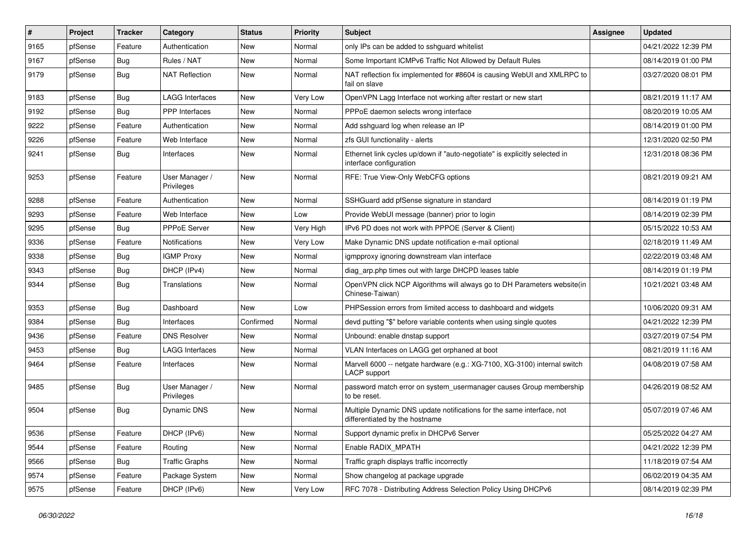| $\vert$ # | Project | <b>Tracker</b> | Category                     | <b>Status</b> | <b>Priority</b> | Subject                                                                                                 | <b>Assignee</b> | <b>Updated</b>      |
|-----------|---------|----------------|------------------------------|---------------|-----------------|---------------------------------------------------------------------------------------------------------|-----------------|---------------------|
| 9165      | pfSense | Feature        | Authentication               | New           | Normal          | only IPs can be added to sshguard whitelist                                                             |                 | 04/21/2022 12:39 PM |
| 9167      | pfSense | <b>Bug</b>     | Rules / NAT                  | New           | Normal          | Some Important ICMPv6 Traffic Not Allowed by Default Rules                                              |                 | 08/14/2019 01:00 PM |
| 9179      | pfSense | <b>Bug</b>     | <b>NAT Reflection</b>        | New           | Normal          | NAT reflection fix implemented for #8604 is causing WebUI and XMLRPC to<br>fail on slave                |                 | 03/27/2020 08:01 PM |
| 9183      | pfSense | Bug            | <b>LAGG Interfaces</b>       | <b>New</b>    | <b>Very Low</b> | OpenVPN Lagg Interface not working after restart or new start                                           |                 | 08/21/2019 11:17 AM |
| 9192      | pfSense | <b>Bug</b>     | <b>PPP</b> Interfaces        | New           | Normal          | PPPoE daemon selects wrong interface                                                                    |                 | 08/20/2019 10:05 AM |
| 9222      | pfSense | Feature        | Authentication               | New           | Normal          | Add sshguard log when release an IP                                                                     |                 | 08/14/2019 01:00 PM |
| 9226      | pfSense | Feature        | Web Interface                | New           | Normal          | zfs GUI functionality - alerts                                                                          |                 | 12/31/2020 02:50 PM |
| 9241      | pfSense | Bug            | Interfaces                   | New           | Normal          | Ethernet link cycles up/down if "auto-negotiate" is explicitly selected in<br>interface configuration   |                 | 12/31/2018 08:36 PM |
| 9253      | pfSense | Feature        | User Manager /<br>Privileges | New           | Normal          | RFE: True View-Only WebCFG options                                                                      |                 | 08/21/2019 09:21 AM |
| 9288      | pfSense | Feature        | Authentication               | <b>New</b>    | Normal          | SSHGuard add pfSense signature in standard                                                              |                 | 08/14/2019 01:19 PM |
| 9293      | pfSense | Feature        | Web Interface                | New           | Low             | Provide WebUI message (banner) prior to login                                                           |                 | 08/14/2019 02:39 PM |
| 9295      | pfSense | <b>Bug</b>     | PPPoE Server                 | New           | Very High       | IPv6 PD does not work with PPPOE (Server & Client)                                                      |                 | 05/15/2022 10:53 AM |
| 9336      | pfSense | Feature        | <b>Notifications</b>         | New           | Very Low        | Make Dynamic DNS update notification e-mail optional                                                    |                 | 02/18/2019 11:49 AM |
| 9338      | pfSense | Bug            | <b>IGMP Proxy</b>            | New           | Normal          | igmpproxy ignoring downstream vlan interface                                                            |                 | 02/22/2019 03:48 AM |
| 9343      | pfSense | <b>Bug</b>     | DHCP (IPv4)                  | New           | Normal          | diag arp.php times out with large DHCPD leases table                                                    |                 | 08/14/2019 01:19 PM |
| 9344      | pfSense | <b>Bug</b>     | Translations                 | New           | Normal          | OpenVPN click NCP Algorithms will always go to DH Parameters website(in<br>Chinese-Taiwan)              |                 | 10/21/2021 03:48 AM |
| 9353      | pfSense | <b>Bug</b>     | Dashboard                    | <b>New</b>    | Low             | PHPSession errors from limited access to dashboard and widgets                                          |                 | 10/06/2020 09:31 AM |
| 9384      | pfSense | <b>Bug</b>     | Interfaces                   | Confirmed     | Normal          | devd putting "\$" before variable contents when using single quotes                                     |                 | 04/21/2022 12:39 PM |
| 9436      | pfSense | Feature        | <b>DNS Resolver</b>          | New           | Normal          | Unbound: enable dnstap support                                                                          |                 | 03/27/2019 07:54 PM |
| 9453      | pfSense | <b>Bug</b>     | <b>LAGG Interfaces</b>       | New           | Normal          | VLAN Interfaces on LAGG get orphaned at boot                                                            |                 | 08/21/2019 11:16 AM |
| 9464      | pfSense | Feature        | Interfaces                   | New           | Normal          | Marvell 6000 -- netgate hardware (e.g.: XG-7100, XG-3100) internal switch<br>LACP support               |                 | 04/08/2019 07:58 AM |
| 9485      | pfSense | Bug            | User Manager /<br>Privileges | New           | Normal          | password match error on system_usermanager causes Group membership<br>to be reset.                      |                 | 04/26/2019 08:52 AM |
| 9504      | pfSense | <b>Bug</b>     | Dynamic DNS                  | New           | Normal          | Multiple Dynamic DNS update notifications for the same interface, not<br>differentiated by the hostname |                 | 05/07/2019 07:46 AM |
| 9536      | pfSense | Feature        | DHCP (IPv6)                  | New           | Normal          | Support dynamic prefix in DHCPv6 Server                                                                 |                 | 05/25/2022 04:27 AM |
| 9544      | pfSense | Feature        | Routing                      | New           | Normal          | Enable RADIX_MPATH                                                                                      |                 | 04/21/2022 12:39 PM |
| 9566      | pfSense | <b>Bug</b>     | <b>Traffic Graphs</b>        | New           | Normal          | Traffic graph displays traffic incorrectly                                                              |                 | 11/18/2019 07:54 AM |
| 9574      | pfSense | Feature        | Package System               | New           | Normal          | Show changelog at package upgrade                                                                       |                 | 06/02/2019 04:35 AM |
| 9575      | pfSense | Feature        | DHCP (IPv6)                  | New           | Very Low        | RFC 7078 - Distributing Address Selection Policy Using DHCPv6                                           |                 | 08/14/2019 02:39 PM |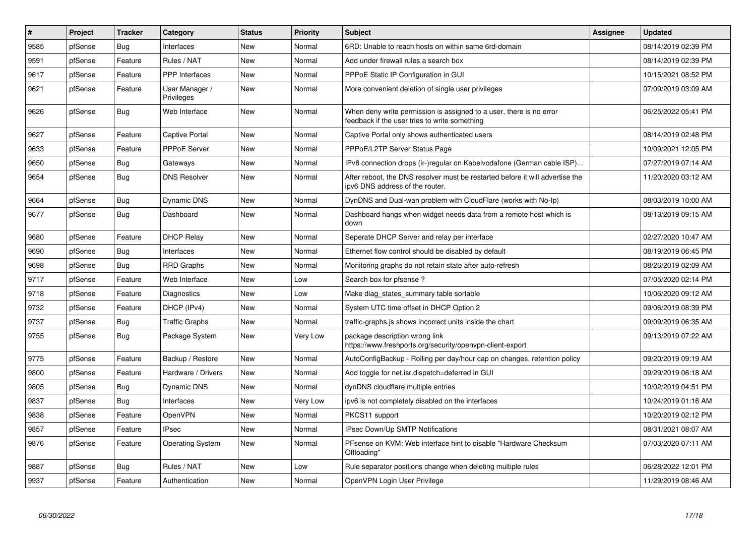| $\vert$ # | <b>Project</b> | <b>Tracker</b> | Category                     | <b>Status</b> | <b>Priority</b> | <b>Subject</b>                                                                                                       | <b>Assignee</b> | <b>Updated</b>      |
|-----------|----------------|----------------|------------------------------|---------------|-----------------|----------------------------------------------------------------------------------------------------------------------|-----------------|---------------------|
| 9585      | pfSense        | Bug            | Interfaces                   | New           | Normal          | 6RD: Unable to reach hosts on within same 6rd-domain                                                                 |                 | 08/14/2019 02:39 PM |
| 9591      | pfSense        | Feature        | Rules / NAT                  | <b>New</b>    | Normal          | Add under firewall rules a search box                                                                                |                 | 08/14/2019 02:39 PM |
| 9617      | pfSense        | Feature        | PPP Interfaces               | New           | Normal          | PPPoE Static IP Configuration in GUI                                                                                 |                 | 10/15/2021 08:52 PM |
| 9621      | pfSense        | Feature        | User Manager /<br>Privileges | New           | Normal          | More convenient deletion of single user privileges                                                                   |                 | 07/09/2019 03:09 AM |
| 9626      | pfSense        | Bug            | Web Interface                | <b>New</b>    | Normal          | When deny write permission is assigned to a user, there is no error<br>feedback if the user tries to write something |                 | 06/25/2022 05:41 PM |
| 9627      | pfSense        | Feature        | <b>Captive Portal</b>        | <b>New</b>    | Normal          | Captive Portal only shows authenticated users                                                                        |                 | 08/14/2019 02:48 PM |
| 9633      | pfSense        | Feature        | PPPoE Server                 | New           | Normal          | PPPoE/L2TP Server Status Page                                                                                        |                 | 10/09/2021 12:05 PM |
| 9650      | pfSense        | Bug            | Gateways                     | <b>New</b>    | Normal          | IPv6 connection drops (ir-)regular on Kabelvodafone (German cable ISP)                                               |                 | 07/27/2019 07:14 AM |
| 9654      | pfSense        | <b>Bug</b>     | <b>DNS Resolver</b>          | New           | Normal          | After reboot, the DNS resolver must be restarted before it will advertise the<br>ipv6 DNS address of the router.     |                 | 11/20/2020 03:12 AM |
| 9664      | pfSense        | Bug            | Dynamic DNS                  | <b>New</b>    | Normal          | DynDNS and Dual-wan problem with CloudFlare (works with No-Ip)                                                       |                 | 08/03/2019 10:00 AM |
| 9677      | pfSense        | Bug            | Dashboard                    | <b>New</b>    | Normal          | Dashboard hangs when widget needs data from a remote host which is<br>down                                           |                 | 08/13/2019 09:15 AM |
| 9680      | pfSense        | Feature        | <b>DHCP Relay</b>            | <b>New</b>    | Normal          | Seperate DHCP Server and relay per interface                                                                         |                 | 02/27/2020 10:47 AM |
| 9690      | pfSense        | <b>Bug</b>     | Interfaces                   | <b>New</b>    | Normal          | Ethernet flow control should be disabled by default                                                                  |                 | 08/19/2019 06:45 PM |
| 9698      | pfSense        | <b>Bug</b>     | <b>RRD Graphs</b>            | <b>New</b>    | Normal          | Monitoring graphs do not retain state after auto-refresh                                                             |                 | 08/26/2019 02:09 AM |
| 9717      | pfSense        | Feature        | Web Interface                | New           | Low             | Search box for pfsense?                                                                                              |                 | 07/05/2020 02:14 PM |
| 9718      | pfSense        | Feature        | Diagnostics                  | New           | Low             | Make diag_states_summary table sortable                                                                              |                 | 10/06/2020 09:12 AM |
| 9732      | pfSense        | Feature        | DHCP (IPv4)                  | New           | Normal          | System UTC time offset in DHCP Option 2                                                                              |                 | 09/06/2019 08:39 PM |
| 9737      | pfSense        | Bug            | <b>Traffic Graphs</b>        | New           | Normal          | traffic-graphs is shows incorrect units inside the chart                                                             |                 | 09/09/2019 06:35 AM |
| 9755      | pfSense        | Bug            | Package System               | New           | Very Low        | package description wrong link<br>https://www.freshports.org/security/openvpn-client-export                          |                 | 09/13/2019 07:22 AM |
| 9775      | pfSense        | Feature        | Backup / Restore             | <b>New</b>    | Normal          | AutoConfigBackup - Rolling per day/hour cap on changes, retention policy                                             |                 | 09/20/2019 09:19 AM |
| 9800      | pfSense        | Feature        | Hardware / Drivers           | New           | Normal          | Add toggle for net.isr.dispatch=deferred in GUI                                                                      |                 | 09/29/2019 06:18 AM |
| 9805      | pfSense        | Bug            | Dynamic DNS                  | New           | Normal          | dynDNS cloudflare multiple entries                                                                                   |                 | 10/02/2019 04:51 PM |
| 9837      | pfSense        | <b>Bug</b>     | Interfaces                   | New           | Very Low        | ipv6 is not completely disabled on the interfaces                                                                    |                 | 10/24/2019 01:16 AM |
| 9838      | pfSense        | Feature        | OpenVPN                      | New           | Normal          | PKCS11 support                                                                                                       |                 | 10/20/2019 02:12 PM |
| 9857      | pfSense        | Feature        | <b>IPsec</b>                 | New           | Normal          | <b>IPsec Down/Up SMTP Notifications</b>                                                                              |                 | 08/31/2021 08:07 AM |
| 9876      | pfSense        | Feature        | <b>Operating System</b>      | New           | Normal          | PFsense on KVM: Web interface hint to disable "Hardware Checksum"<br>Offloading'                                     |                 | 07/03/2020 07:11 AM |
| 9887      | pfSense        | Bug            | Rules / NAT                  | New           | Low             | Rule separator positions change when deleting multiple rules                                                         |                 | 06/28/2022 12:01 PM |
| 9937      | pfSense        | Feature        | Authentication               | <b>New</b>    | Normal          | OpenVPN Login User Privilege                                                                                         |                 | 11/29/2019 08:46 AM |